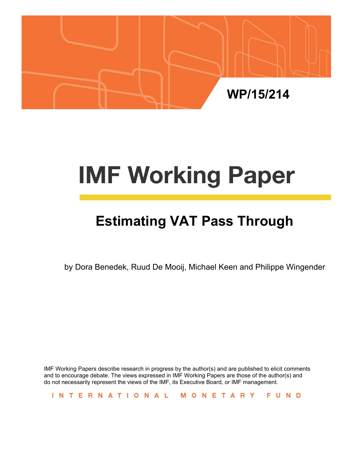

# **IMF Working Paper**

# **Estimating VAT Pass Through**

by Dora Benedek, Ruud De Mooij, Michael Keen and Philippe Wingender

IMF Working Papers describe research in progress by the author(s) and are published to elicit comments and to encourage debate. The views expressed in IMF Working Papers are those of the author(s) and do not necessarily represent the views of the IMF, its Executive Board, or IMF management.

INTERNATIONAL MONETARY FUND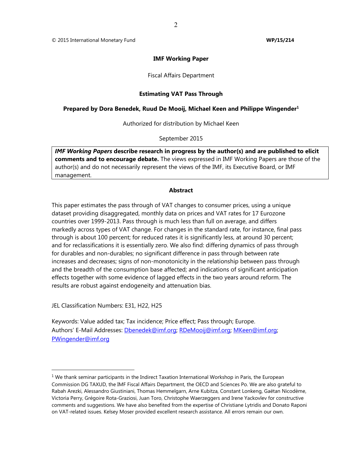#### **IMF Working Paper**

Fiscal Affairs Department

#### **Estimating VAT Pass Through**

#### **Prepared by Dora Benedek, Ruud De Mooij, Michael Keen and Philippe Wingender<sup>1</sup>**

Authorized for distribution by Michael Keen

September 2015

*IMF Working Papers* **describe research in progress by the author(s) and are published to elicit comments and to encourage debate.** The views expressed in IMF Working Papers are those of the author(s) and do not necessarily represent the views of the IMF, its Executive Board, or IMF management.

#### **Abstract**

This paper estimates the pass through of VAT changes to consumer prices, using a unique dataset providing disaggregated, monthly data on prices and VAT rates for 17 Eurozone countries over 1999-2013. Pass through is much less than full on average, and differs markedly across types of VAT change. For changes in the standard rate, for instance, final pass through is about 100 percent; for reduced rates it is significantly less, at around 30 percent; and for reclassifications it is essentially zero. We also find: differing dynamics of pass through for durables and non-durables; no significant difference in pass through between rate increases and decreases; signs of non-monotonicity in the relationship between pass through and the breadth of the consumption base affected; and indications of significant anticipation effects together with some evidence of lagged effects in the two years around reform. The results are robust against endogeneity and attenuation bias.

JEL Classification Numbers: E31, H22, H25

Keywords: Value added tax; Tax incidence; Price effect; Pass through; Europe. Authors' E-Mail Addresses: Dbenedek@imf.org; RDeMooij@imf.org; MKeen@imf.org; PWingender@imf.org

<sup>&</sup>lt;sup>1</sup> We thank seminar participants in the Indirect Taxation International Workshop in Paris, the European Commission DG TAXUD, the IMF Fiscal Affairs Department, the OECD and Sciences Po. We are also grateful to Rabah Arezki, Alessandro Giustiniani, Thomas Hemmelgarn, Arne Kubitza, Constant Lonkeng, Gaëtan Nicodème, Victoria Perry, Grégoire Rota-Graziosi, Juan Toro, Christophe Waerzeggers and Irene Yackovlev for constructive comments and suggestions. We have also benefited from the expertise of Christiane Lytridis and Donato Raponi on VAT-related issues. Kelsey Moser provided excellent research assistance. All errors remain our own.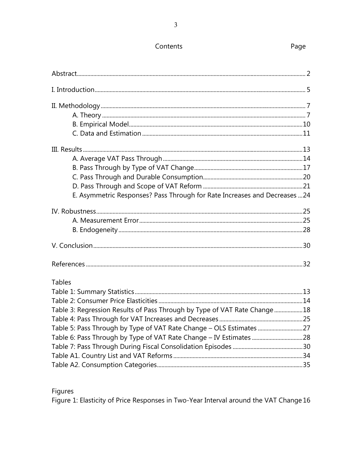#### Contents

| E. Asymmetric Responses? Pass Through for Rate Increases and Decreases  24 |  |
|----------------------------------------------------------------------------|--|
|                                                                            |  |
|                                                                            |  |
|                                                                            |  |
|                                                                            |  |
|                                                                            |  |
| <b>Tables</b>                                                              |  |
|                                                                            |  |
|                                                                            |  |
| Table 3: Regression Results of Pass Through by Type of VAT Rate Change18   |  |
|                                                                            |  |
| Table 5: Pass Through by Type of VAT Rate Change - OLS Estimates  27       |  |
|                                                                            |  |
|                                                                            |  |
|                                                                            |  |
|                                                                            |  |

Figures

Figure 1: Elasticity of Price Responses in Two-Year Interval around the VAT Change 16

Page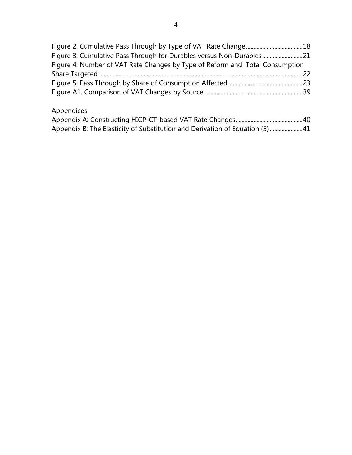| Figure 3: Cumulative Pass Through for Durables versus Non-Durables21         |  |
|------------------------------------------------------------------------------|--|
| Figure 4: Number of VAT Rate Changes by Type of Reform and Total Consumption |  |
|                                                                              |  |
|                                                                              |  |
|                                                                              |  |

### Appendices

| Appendix B: The Elasticity of Substitution and Derivation of Equation (5) 41 |  |
|------------------------------------------------------------------------------|--|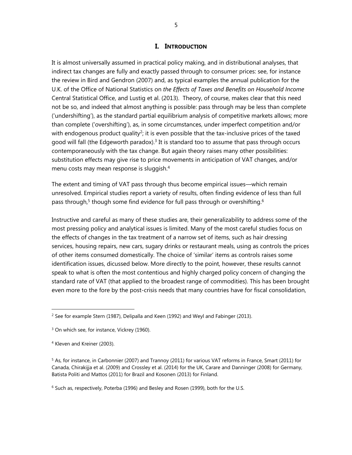#### **I. INTRODUCTION**

It is almost universally assumed in practical policy making, and in distributional analyses, that indirect tax changes are fully and exactly passed through to consumer prices: see, for instance the review in Bird and Gendron (2007) and, as typical examples the annual publication for the U.K. of the Office of National Statistics on *the Effects of Taxes and Benefits on Household Income*  Central Statistical Office, and Lustig et al. (2013). Theory, of course, makes clear that this need not be so, and indeed that almost anything is possible: pass through may be less than complete ('undershifting'), as the standard partial equilibrium analysis of competitive markets allows; more than complete ('overshifting'), as, in some circumstances, under imperfect competition and/or with endogenous product quality<sup>2</sup>; it is even possible that the tax-inclusive prices of the taxed good will fall (the Edgeworth paradox). $3$  It is standard too to assume that pass through occurs contemporaneously with the tax change. But again theory raises many other possibilities: substitution effects may give rise to price movements in anticipation of VAT changes, and/or menu costs may mean response is sluggish.<sup>4</sup>

The extent and timing of VAT pass through thus become empirical issues—which remain unresolved. Empirical studies report a variety of results, often finding evidence of less than full pass through,<sup>5</sup> though some find evidence for full pass through or overshifting.<sup>6</sup>

Instructive and careful as many of these studies are, their generalizability to address some of the most pressing policy and analytical issues is limited. Many of the most careful studies focus on the effects of changes in the tax treatment of a narrow set of items, such as hair dressing services, housing repairs, new cars, sugary drinks or restaurant meals, using as controls the prices of other items consumed domestically. The choice of 'similar' items as controls raises some identification issues, dicussed below. More directly to the point, however, these results cannot speak to what is often the most contentious and highly charged policy concern of changing the standard rate of VAT (that applied to the broadest range of commodities). This has been brought even more to the fore by the post-crisis needs that many countries have for fiscal consolidation,

<sup>&</sup>lt;sup>2</sup> See for example Stern (1987), Delipalla and Keen (1992) and Weyl and Fabinger (2013).

<sup>&</sup>lt;sup>3</sup> On which see, for instance, Vickrey (1960).

<sup>4</sup> Kleven and Kreiner (2003).

<sup>&</sup>lt;sup>5</sup> As, for instance, in Carbonnier (2007) and Trannoy (2011) for various VAT reforms in France, Smart (2011) for Canada, Chirakijja et al. (2009) and Crossley et al. (2014) for the UK, Carare and Danninger (2008) for Germany, Batista Politi and Mattos (2011) for Brazil and Kosonen (2013) for Finland.

<sup>&</sup>lt;sup>6</sup> Such as, respectively, Poterba (1996) and Besley and Rosen (1999), both for the U.S.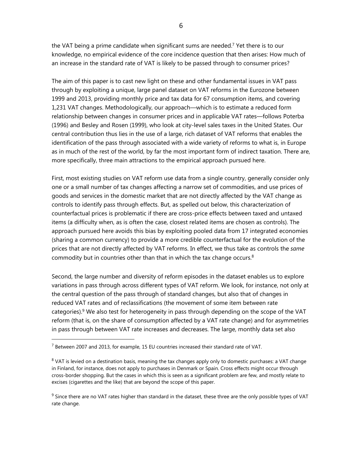the VAT being a prime candidate when significant sums are needed.<sup>7</sup> Yet there is to our knowledge, no empirical evidence of the core incidence question that then arises: How much of an increase in the standard rate of VAT is likely to be passed through to consumer prices?

The aim of this paper is to cast new light on these and other fundamental issues in VAT pass through by exploiting a unique, large panel dataset on VAT reforms in the Eurozone between 1999 and 2013, providing monthly price and tax data for 67 consumption items, and covering 1,231 VAT changes. Methodologically, our approach—which is to estimate a reduced form relationship between changes in consumer prices and in applicable VAT rates—follows Poterba (1996) and Besley and Rosen (1999), who look at city-level sales taxes in the United States. Our central contribution thus lies in the use of a large, rich dataset of VAT reforms that enables the identification of the pass through associated with a wide variety of reforms to what is, in Europe as in much of the rest of the world, by far the most important form of indirect taxation. There are, more specifically, three main attractions to the empirical approach pursued here.

First, most existing studies on VAT reform use data from a single country, generally consider only one or a small number of tax changes affecting a narrow set of commodities, and use prices of goods and services in the domestic market that are not directly affected by the VAT change as controls to identify pass through effects. But, as spelled out below, this characterization of counterfactual prices is problematic if there are cross-price effects between taxed and untaxed items (a difficulty when, as is often the case, closest related items are chosen as controls). The approach pursued here avoids this bias by exploiting pooled data from 17 integrated economies (sharing a common currency) to provide a more credible counterfactual for the evolution of the prices that are not directly affected by VAT reforms. In effect, we thus take as controls the *same* commodity but in countries other than that in which the tax change occurs.8

Second, the large number and diversity of reform episodes in the dataset enables us to explore variations in pass through across different types of VAT reform. We look, for instance, not only at the central question of the pass through of standard changes, but also that of changes in reduced VAT rates and of reclassifications (the movement of some item between rate categories).<sup>9</sup> We also test for heterogeneity in pass through depending on the scope of the VAT reform (that is, on the share of consumption affected by a VAT rate change) and for asymmetries in pass through between VAT rate increases and decreases. The large, monthly data set also

 $^7$  Between 2007 and 2013, for example, 15 EU countries increased their standard rate of VAT.

 $8$  VAT is levied on a destination basis, meaning the tax changes apply only to domestic purchases: a VAT change in Finland, for instance, does not apply to purchases in Denmark or Spain. Cross effects might occur through cross-border shopping. But the cases in which this is seen as a significant problem are few, and mostly relate to excises (cigarettes and the like) that are beyond the scope of this paper.

 $9$  Since there are no VAT rates higher than standard in the dataset, these three are the only possible types of VAT rate change.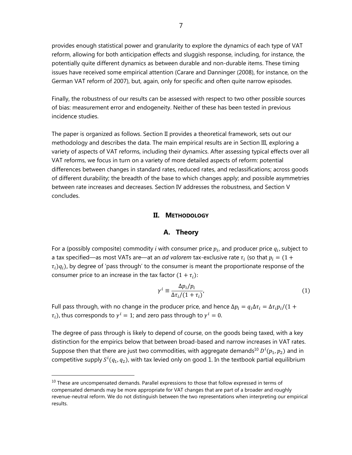provides enough statistical power and granularity to explore the dynamics of each type of VAT reform, allowing for both anticipation effects and sluggish response, including, for instance, the potentially quite different dynamics as between durable and non-durable items. These timing issues have received some empirical attention (Carare and Danninger (2008), for instance, on the German VAT reform of 2007), but, again, only for specific and often quite narrow episodes.

Finally, the robustness of our results can be assessed with respect to two other possible sources of bias: measurement error and endogeneity. Neither of these has been tested in previous incidence studies.

The paper is organized as follows. Section II provides a theoretical framework, sets out our methodology and describes the data. The main empirical results are in Section III, exploring a variety of aspects of VAT reforms, including their dynamics. After assessing typical effects over all VAT reforms, we focus in turn on a variety of more detailed aspects of reform: potential differences between changes in standard rates, reduced rates, and reclassifications; across goods of different durability; the breadth of the base to which changes apply; and possible asymmetries between rate increases and decreases. Section IV addresses the robustness, and Section V concludes.

#### **II. METHODOLOGY**

#### **A. Theory**

For a (possibly composite) commodity *i* with consumer price  $p_i$ , and producer price  $q_i$ , subject to a tax specified—as most VATs are—at an *ad valorem* tax-exclusive rate  $\tau_i$  (so that  $p_i = (1 +$  $\tau_i$ ) $q_i$ ), by degree of 'pass through' to the consumer is meant the proportionate response of the consumer price to an increase in the tax factor  $(1 + \tau_i)$ :

$$
\gamma^{i} \equiv \frac{\Delta p_{i}/p_{i}}{\Delta \tau_{i}/(1+\tau_{i})},\tag{1}
$$

Full pass through, with no change in the producer price, and hence  $\Delta p_i = q_i \Delta \tau_i = \Delta \tau_i p_i/(1+\epsilon)$  $\tau_i$ ), thus corresponds to  $\gamma^i = 1$ ; and zero pass through to  $\gamma^i = 0$ .

The degree of pass through is likely to depend of course, on the goods being taxed, with a key distinction for the empirics below that between broad-based and narrow increases in VAT rates. Suppose then that there are just two commodities, with aggregate demands $^{10}$   $D^{i}(p_1,p_2)$  and in competitive supply  $S^{i}(q_{1},q_{2})$ , with tax levied only on good 1. In the textbook partial equilibrium

 $10$  These are uncompensated demands. Parallel expressions to those that follow expressed in terms of compensated demands may be more appropriate for VAT changes that are part of a broader and roughly revenue-neutral reform. We do not distinguish between the two representations when interpreting our empirical results.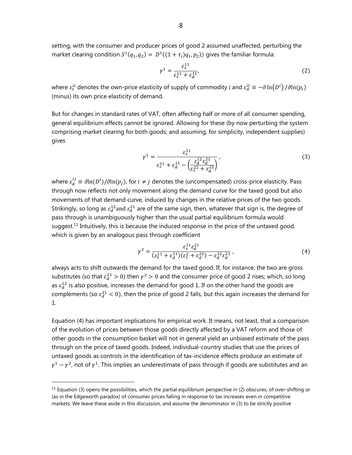setting, with the consumer and producer prices of good 2 assumed unaffected, perturbing the market clearing condition  $S^1(q_1, q_2) = D^1((1 + \tau_i)q_1, p_2)$  gives the familiar formula:

$$
\gamma^1 = \frac{\varepsilon_s^{11}}{\varepsilon_s^{11} + \varepsilon_d^{11}},\tag{2}
$$

where  $\varepsilon^{ii}_s$  denotes the own-price elasticity of supply of commodity  $i$  and  $\varepsilon^{ii}_d\equiv -\partial\ln(D^i)\,/\partial\ln(p_i)$ (minus) its own price elasticity of demand.

But for changes in standard rates of VAT, often affecting half or more of all consumer spending, general equilibrium effects cannot be ignored. Allowing for these (by now perturbing the system comprising market clearing for both goods; and assuming, for simplicity, independent supplies) gives

$$
\gamma^{1} = \frac{\varepsilon_{s}^{11}}{\varepsilon_{s}^{11} + \varepsilon_{d}^{11} - \left(\frac{\varepsilon_{d}^{12}\varepsilon_{d}^{21}}{\varepsilon_{s}^{22} + \varepsilon_{d}^{22}}\right)},
$$
\n(3)

where  $\varepsilon_d^{ij}\equiv \partial{\ln(D^i)}/\partial{\ln(p_j)}$ , for  $i\neq j$  denotes the (uncompensated) cross-price elasticity. Pass through now reflects not only movement along the demand curve for the taxed good but also movements of that demand curve, induced by changes in the relative prices of the two goods. Strikingly, so long as  $\varepsilon_d^{12}$ and  $\varepsilon_d^{21}$  are of the same sign, then, whatever that sign is, the degree of pass through is unambiguously higher than the usual partial equilibrium formula would suggest.<sup>11</sup> Intuitively, this is because the induced response in the price of the untaxed good, which is given by an analogous pass through coefficient

$$
\gamma^2 = \frac{\varepsilon_s^{11} \varepsilon_d^{21}}{(\varepsilon_s^{11} + \varepsilon_d^{11})(\varepsilon_s^2 + \varepsilon_d^{22}) - \varepsilon_d^{12} \varepsilon_d^{21}}\,,\tag{4}
$$

always acts to shift outwards the demand for the taxed good. If, for instance, the two are gross substitutes (so that  $\varepsilon_d^{21} > 0$ ) then  $\gamma^2 > 0$  and the consumer price of good 2 rises; which, so long as  $\varepsilon_d^{12}$  is also positive, increases the demand for good 1. If on the other hand the goods are complements (so  $\varepsilon_d^{21} < 0$ ), then the price of good 2 falls, but this again increases the demand for 1.

Equation (4) has important implications for empirical work. It means, not least, that a comparison of the evolution of prices between those goods directly affected by a VAT reform and those of other goods in the consumption basket will not in general yield an unbiased estimate of the pass through on the price of taxed goods. Indeed, individual-country studies that use the prices of untaxed goods as controls in the identification of tax-incidence effects produce an estimate of  $\gamma^1-\gamma^2$ , not of  $\gamma^1$ . This implies an underestimate of pass through if goods are substitutes and an

 $11$  Equation (3) opens the possibilities, which the partial equilibrium perspective in (2) obscures, of over-shifting or (as in the Edgeworth paradox) of consumer prices falling in response to tax increases even in competitive markets. We leave these aside in this discussion, and assume the denominator in (3) to be strictly positive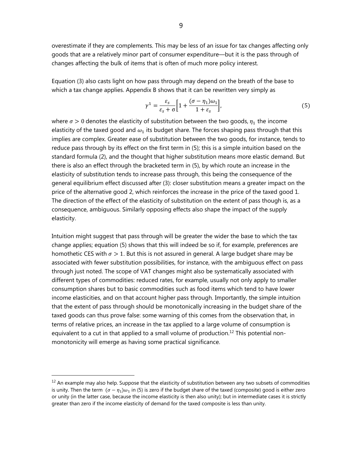overestimate if they are complements. This may be less of an issue for tax changes affecting only goods that are a relatively minor part of consumer expenditure—but it is the pass through of changes affecting the bulk of items that is often of much more policy interest.

Equation (3) also casts light on how pass through may depend on the breath of the base to which a tax change applies. Appendix B shows that it can be rewritten very simply as

$$
\gamma^1 = \frac{\varepsilon_s}{\varepsilon_s + \sigma} \left[ 1 + \frac{(\sigma - \eta_1)\omega_1}{1 + \varepsilon_s} \right],\tag{5}
$$

where  $\sigma > 0$  denotes the elasticity of substitution between the two goods,  $\eta_1$  the income elasticity of the taxed good and  $\omega_1$  its budget share. The forces shaping pass through that this implies are complex. Greater ease of substitution between the two goods, for instance, tends to reduce pass through by its effect on the first term in (5); this is a simple intuition based on the standard formula (2), and the thought that higher substitution means more elastic demand. But there is also an effect through the bracketed term in (5), by which route an increase in the elasticity of substitution tends to increase pass through, this being the consequence of the general equilibrium effect discussed after (3): closer substitution means a greater impact on the price of the alternative good 2, which reinforces the increase in the price of the taxed good 1. The direction of the effect of the elasticity of substitution on the extent of pass though is, as a consequence, ambiguous. Similarly opposing effects also shape the impact of the supply elasticity.

Intuition might suggest that pass through will be greater the wider the base to which the tax change applies; equation (5) shows that this will indeed be so if, for example, preferences are homothetic CES with  $\sigma > 1$ . But this is not assured in general. A large budget share may be associated with fewer substitution possibilities, for instance, with the ambiguous effect on pass through just noted. The scope of VAT changes might also be systematically associated with different types of commodities: reduced rates, for example, usually not only apply to smaller consumption shares but to basic commodities such as food items which tend to have lower income elasticities, and on that account higher pass through. Importantly, the simple intuition that the extent of pass through should be monotonically increasing in the budget share of the taxed goods can thus prove false: some warning of this comes from the observation that, in terms of relative prices, an increase in the tax applied to a large volume of consumption is equivalent to a cut in that applied to a small volume of production.<sup>12</sup> This potential nonmonotonicity will emerge as having some practical significance.

 $12$  An example may also help. Suppose that the elasticity of substitution between any two subsets of commodities is unity. Then the term  $(\sigma - \eta_1)\omega_1$  in (5) is zero if the budget share of the taxed (composite) good is either zero or unity (in the latter case, because the income elasticity is then also unity); but in intermediate cases it is strictly greater than zero if the income elasticity of demand for the taxed composite is less than unity.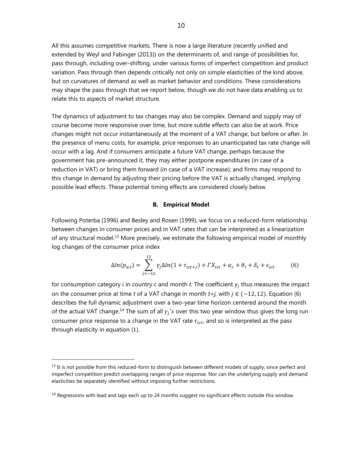All this assumes competitive markets. There is now a large literature (recently unified and extended by Weyl and Fabinger (2013)) on the determinants of, and range of possibilities for, pass through, including over-shifting, under various forms of imperfect competition and product variation. Pass through then depends critically not only on simple elasticities of the kind above, but on curvatures of demand as well as market behavior and conditions. These considerations may shape the pass through that we report below, though we do not have data enabling us to relate this to aspects of market structure.

The dynamics of adjustment to tax changes may also be complex. Demand and supply may of course become more responsive over time, but more subtle effects can also be at work. Price changes might not occur instantaneously at the moment of a VAT change, but before or after. In the presence of menu costs, for example, price responses to an unanticipated tax rate change will occur with a lag. And if consumers anticipate a future VAT change, perhaps because the government has pre-announced it, they may either postpone expenditures (in case of a reduction in VAT) or bring them forward (in case of a VAT increase); and firms may respond to this change in demand by adjusting their pricing before the VAT is actually changed, implying possible lead effects. These potential timing effects are considered closely below.

#### **B. Empirical Model**

Following Poterba (1996) and Besley and Rosen (1999), we focus on a reduced-form relationship between changes in consumer prices and in VAT rates that can be interpreted as a linearization of any structural model.13 More precisely, we estimate the following empirical model of monthly log changes of the consumer price index

$$
\Delta ln(p_{ict}) = \sum_{j=-12}^{12} \gamma_j \Delta ln(1 + \tau_{ict+j}) + \Gamma X_{ict} + \alpha_c + \theta_i + \delta_t + \varepsilon_{ict}
$$
 (6)

for consumption category  $i$  in country  $\epsilon$  and month  $t.$  The coefficient  $\gamma_j$  thus measures the impact on the consumer price at time *t* of a VAT change in month  $t+j$ , with  $j \in (-12, 12)$ . Equation (6) describes the full dynamic adjustment over a two-year time horizon centered around the month of the actual VAT change.<sup>14</sup> The sum of all  $\gamma_i$ 's over this two year window thus gives the long run consumer price response to a change in the VAT rate  $\tau_{ict}$ , and so is interpreted as the pass through elasticity in equation (1).

1

 $<sup>13</sup>$  It is not possible from this reduced-form to distinguish between different models of supply, since perfect and</sup> imperfect competition predict overlapping ranges of price response. Nor can the underlying supply and demand elasticities be separately identified without imposing further restrictions.

 $14$  Regressions with lead and lags each up to 24 months suggest no significant effects outside this window.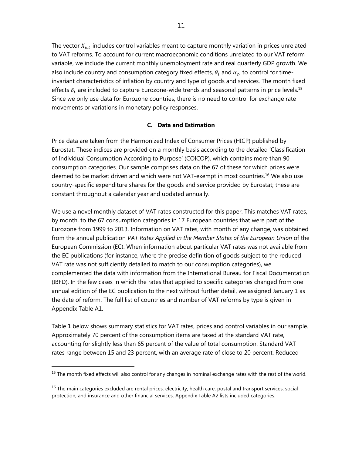The vector  $X_{ict}$  includes control variables meant to capture monthly variation in prices unrelated to VAT reforms. To account for current macroeconomic conditions unrelated to our VAT reform variable, we include the current monthly unemployment rate and real quarterly GDP growth. We also include country and consumption category fixed effects,  $\theta_i$  and  $\alpha_c$ , to control for timeinvariant characteristics of inflation by country and type of goods and services. The month fixed effects  $\delta_t$  are included to capture Eurozone-wide trends and seasonal patterns in price levels.<sup>15</sup> Since we only use data for Eurozone countries, there is no need to control for exchange rate movements or variations in monetary policy responses.

#### **C. Data and Estimation**

Price data are taken from the Harmonized Index of Consumer Prices (HICP) published by Eurostat. These indices are provided on a monthly basis according to the detailed 'Classification of Individual Consumption According to Purpose' (COICOP), which contains more than 90 consumption categories. Our sample comprises data on the 67 of these for which prices were deemed to be market driven and which were not VAT-exempt in most countries.<sup>16</sup> We also use country-specific expenditure shares for the goods and service provided by Eurostat; these are constant throughout a calendar year and updated annually.

We use a novel monthly dataset of VAT rates constructed for this paper. This matches VAT rates, by month, to the 67 consumption categories in 17 European countries that were part of the Eurozone from 1999 to 2013. Information on VAT rates, with month of any change, was obtained from the annual publication *VAT Rates Applied in the Member States of the European Union* of the European Commission (EC). When information about particular VAT rates was not available from the EC publications (for instance, where the precise definition of goods subject to the reduced VAT rate was not sufficiently detailed to match to our consumption categories), we complemented the data with information from the International Bureau for Fiscal Documentation (IBFD). In the few cases in which the rates that applied to specific categories changed from one annual edition of the EC publication to the next without further detail, we assigned January 1 as the date of reform. The full list of countries and number of VAT reforms by type is given in Appendix Table A1.

Table 1 below shows summary statistics for VAT rates, prices and control variables in our sample. Approximately 70 percent of the consumption items are taxed at the standard VAT rate, accounting for slightly less than 65 percent of the value of total consumption. Standard VAT rates range between 15 and 23 percent, with an average rate of close to 20 percent. Reduced

<sup>&</sup>lt;sup>15</sup> The month fixed effects will also control for any changes in nominal exchange rates with the rest of the world.

 $<sup>16</sup>$  The main categories excluded are rental prices, electricity, health care, postal and transport services, social</sup> protection, and insurance and other financial services. Appendix Table A2 lists included categories.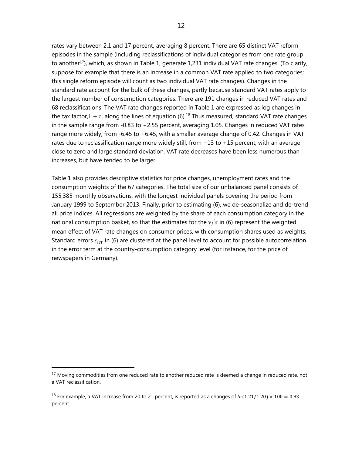rates vary between 2.1 and 17 percent, averaging 8 percent. There are 65 distinct VAT reform episodes in the sample (including reclassifications of individual categories from one rate group to another<sup>17</sup>), which, as shown in Table 1, generate 1,231 individual VAT rate changes. (To clarify, suppose for example that there is an increase in a common VAT rate applied to two categories; this single reform episode will count as two individual VAT rate changes). Changes in the standard rate account for the bulk of these changes, partly because standard VAT rates apply to the largest number of consumption categories. There are 191 changes in reduced VAT rates and 68 reclassifications. The VAT rate changes reported in Table 1 are expressed as log changes in the tax factor,  $1 + \tau$ , along the lines of equation (6).<sup>18</sup> Thus measured, standard VAT rate changes in the sample range from -0.83 to +2.55 percent, averaging 1.05. Changes in reduced VAT rates range more widely, from -6.45 to +6.45, with a smaller average change of 0.42. Changes in VAT rates due to reclassification range more widely still, from −13 to +15 percent, with an average close to zero and large standard deviation. VAT rate decreases have been less numerous than increases, but have tended to be larger.

Table 1 also provides descriptive statistics for price changes, unemployment rates and the consumption weights of the 67 categories. The total size of our unbalanced panel consists of 155,385 monthly observations, with the longest individual panels covering the period from January 1999 to September 2013. Finally, prior to estimating (6), we de-seasonalize and de-trend all price indices. All regressions are weighted by the share of each consumption category in the national consumption basket, so that the estimates for the  $\gamma_i$ 's in (6) represent the weighted mean effect of VAT rate changes on consumer prices, with consumption shares used as weights. Standard errors  $\varepsilon_{ict}$  in (6) are clustered at the panel level to account for possible autocorrelation in the error term at the country-consumption category level (for instance, for the price of newspapers in Germany).

<sup>&</sup>lt;sup>17</sup> Moving commodities from one reduced rate to another reduced rate is deemed a change in reduced rate, not a VAT reclassification.

<sup>&</sup>lt;sup>18</sup> For example, a VAT increase from 20 to 21 percent, is reported as a changes of  $ln(1.21/1.20) \times 100 = 0.83$ percent.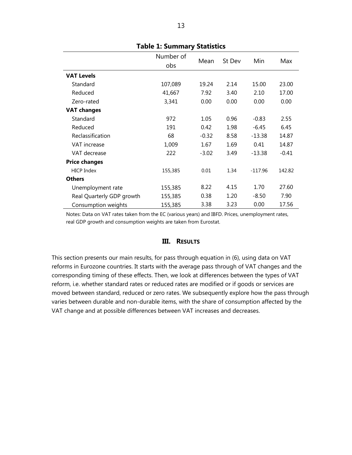|                           | Number of | Mean    | St Dev | Min       | Max     |
|---------------------------|-----------|---------|--------|-----------|---------|
|                           | obs       |         |        |           |         |
| <b>VAT Levels</b>         |           |         |        |           |         |
| Standard                  | 107,089   | 19.24   | 2.14   | 15.00     | 23.00   |
| Reduced                   | 41,667    | 7.92    | 3.40   | 2.10      | 17.00   |
| Zero-rated                | 3,341     | 0.00    | 0.00   | 0.00      | 0.00    |
| <b>VAT changes</b>        |           |         |        |           |         |
| Standard                  | 972       | 1.05    | 0.96   | $-0.83$   | 2.55    |
| Reduced                   | 191       | 0.42    | 1.98   | $-6.45$   | 6.45    |
| Reclassification          | 68        | $-0.32$ | 8.58   | $-13.38$  | 14.87   |
| VAT increase              | 1,009     | 1.67    | 1.69   | 0.41      | 14.87   |
| VAT decrease              | 222       | $-3.02$ | 3.49   | $-13.38$  | $-0.41$ |
| <b>Price changes</b>      |           |         |        |           |         |
| <b>HICP Index</b>         | 155,385   | 0.01    | 1.34   | $-117.96$ | 142.82  |
| <b>Others</b>             |           |         |        |           |         |
| Unemployment rate         | 155,385   | 8.22    | 4.15   | 1.70      | 27.60   |
| Real Quarterly GDP growth | 155,385   | 0.38    | 1.20   | $-8.50$   | 7.90    |
| Consumption weights       | 155,385   | 3.38    | 3.23   | 0.00      | 17.56   |

#### **Table 1: Summary Statistics**

Notes: Data on VAT rates taken from the EC (various years) and IBFD. Prices, unemployment rates, real GDP growth and consumption weights are taken from Eurostat.

#### **III. RESULTS**

This section presents our main results, for pass through equation in (6), using data on VAT reforms in Eurozone countries. It starts with the average pass through of VAT changes and the corresponding timing of these effects. Then, we look at differences between the types of VAT reform, i.e. whether standard rates or reduced rates are modified or if goods or services are moved between standard, reduced or zero rates. We subsequently explore how the pass through varies between durable and non-durable items, with the share of consumption affected by the VAT change and at possible differences between VAT increases and decreases.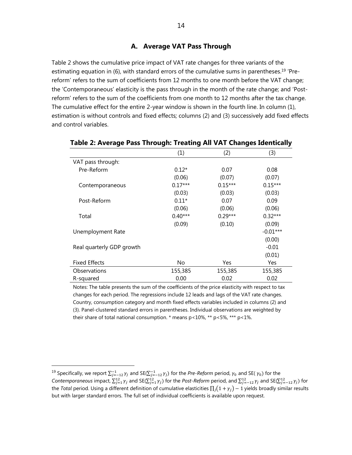#### **A. Average VAT Pass Through**

Table 2 shows the cumulative price impact of VAT rate changes for three variants of the estimating equation in (6), with standard errors of the cumulative sums in parentheses.<sup>19</sup> 'Prereform' refers to the sum of coefficients from 12 months to one month before the VAT change; the 'Contemporaneous' elasticity is the pass through in the month of the rate change; and 'Postreform' refers to the sum of the coefficients from one month to 12 months after the tax change. The cumulative effect for the entire 2-year window is shown in the fourth line. In column (1), estimation is without controls and fixed effects; columns (2) and (3) successively add fixed effects and control variables.

|                           | (1)       | (2)       | (3)        |
|---------------------------|-----------|-----------|------------|
| VAT pass through:         |           |           |            |
| Pre-Reform                | $0.12*$   | 0.07      | 0.08       |
|                           | (0.06)    | (0.07)    | (0.07)     |
| Contemporaneous           | $0.17***$ | $0.15***$ | $0.15***$  |
|                           | (0.03)    | (0.03)    | (0.03)     |
| Post-Reform               | $0.11*$   | 0.07      | 0.09       |
|                           | (0.06)    | (0.06)    | (0.06)     |
| Total                     | $0.40***$ | $0.29***$ | $0.32***$  |
|                           | (0.09)    | (0.10)    | (0.09)     |
| Unemployment Rate         |           |           | $-0.01***$ |
|                           |           |           | (0.00)     |
| Real quarterly GDP growth |           |           | $-0.01$    |
|                           |           |           | (0.01)     |
| <b>Fixed Effects</b>      | No.       | Yes       | Yes        |
| Observations              | 155,385   | 155,385   | 155,385    |
| R-squared                 | 0.00      | 0.02      | 0.02       |

#### **Table 2: Average Pass Through: Treating All VAT Changes Identically**

Notes: The table presents the sum of the coefficients of the price elasticity with respect to tax changes for each period. The regressions include 12 leads and lags of the VAT rate changes. Country, consumption category and month fixed effects variables included in columns (2) and (3). Panel-clustered standard errors in parentheses. Individual observations are weighted by their share of total national consumption.  $*$  means  $p$ <10%,  $**$   $p$ <5%,  $***$   $p$ <1%.

 $^{19}$  Specifically, we report  $\sum_{j=-12}^{-1} \gamma_j$  and SE( $\sum_{j=-12}^{-1} \gamma_j$ ) for the Pre-Reform period,  $\gamma_0$  and SE( $\gamma_0$ ) for the Contemporaneous impact,  $\sum_{j=1}^{12} \gamma_j$  and SE( $\sum_{j=1}^{12} \gamma_j$ ) for the *Post-Reform* period, and  $\sum_{j=-12}^{12} \gamma_j$  and SE( $\sum_{j=-12}^{12} \gamma_j$ ) for the *Total* period. Using a different definition of cumulative elasticities  $\prod_j(1 + \gamma_j) - 1$  yields broadly similar results but with larger standard errors. The full set of individual coefficients is available upon request.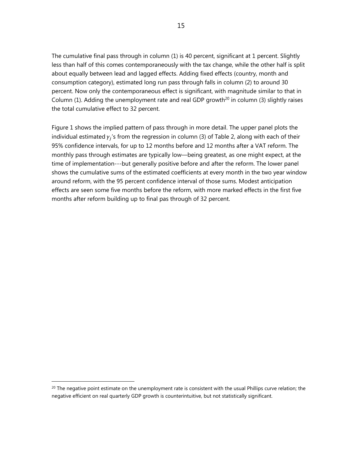The cumulative final pass through in column (1) is 40 percent, significant at 1 percent. Slightly less than half of this comes contemporaneously with the tax change, while the other half is split about equally between lead and lagged effects. Adding fixed effects (country, month and consumption category), estimated long run pass through falls in column (2) to around 30 percent. Now only the contemporaneous effect is significant, with magnitude similar to that in Column (1). Adding the unemployment rate and real GDP growth<sup>20</sup> in column (3) slightly raises the total cumulative effect to 32 percent.

Figure 1 shows the implied pattern of pass through in more detail. The upper panel plots the individual estimated  $\gamma_i$ 's from the regression in column (3) of Table 2, along with each of their 95% confidence intervals, for up to 12 months before and 12 months after a VAT reform. The monthly pass through estimates are typically low—being greatest, as one might expect, at the time of implementation---but generally positive before and after the reform. The lower panel shows the cumulative sums of the estimated coefficients at every month in the two year window around reform, with the 95 percent confidence interval of those sums. Modest anticipation effects are seen some five months before the reform, with more marked effects in the first five months after reform building up to final pas through of 32 percent.

 $20$  The negative point estimate on the unemployment rate is consistent with the usual Phillips curve relation; the negative efficient on real quarterly GDP growth is counterintuitive, but not statistically significant.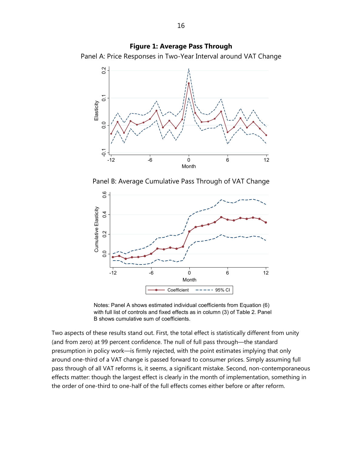**Figure 1: Average Pass Through**  Panel A: Price Responses in Two-Year Interval around VAT Change



Panel B: Average Cumulative Pass Through of VAT Change



Notes: Panel A shows estimated individual coefficients from Equation (6) with full list of controls and fixed effects as in column (3) of Table 2. Panel B shows cumulative sum of coefficients.

Two aspects of these results stand out. First, the total effect is statistically different from unity (and from zero) at 99 percent confidence. The null of full pass through—the standard presumption in policy work—is firmly rejected, with the point estimates implying that only around one-third of a VAT change is passed forward to consumer prices. Simply assuming full pass through of all VAT reforms is, it seems, a significant mistake. Second, non-contemporaneous effects matter: though the largest effect is clearly in the month of implementation, something in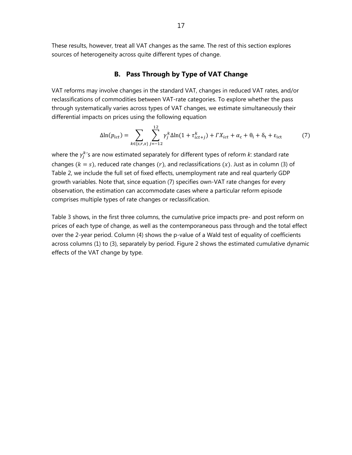These results, however, treat all VAT changes as the same. The rest of this section explores sources of heterogeneity across quite different types of change.

#### **B. Pass Through by Type of VAT Change**

VAT reforms may involve changes in the standard VAT, changes in reduced VAT rates, and/or reclassifications of commodities between VAT-rate categories. To explore whether the pass through systematically varies across types of VAT changes, we estimate simultaneously their differential impacts on prices using the following equation

$$
\Delta \ln(p_{ict}) = \sum_{k \in \{s, r, x\}} \sum_{j=-12}^{12} \gamma_j^k \Delta \ln(1 + \tau_{ict+j}^k) + \Gamma X_{ict} + \alpha_c + \theta_i + \delta_t + \varepsilon_{ict} \tag{7}
$$

where the  $\gamma_j^k$ 's are now estimated separately for different types of reform  $k$ : standard rate changes ( $k = s$ ), reduced rate changes (r), and reclassifications (x). Just as in column (3) of Table 2, we include the full set of fixed effects, unemployment rate and real quarterly GDP growth variables. Note that, since equation (7) specifies own-VAT rate changes for every observation, the estimation can accommodate cases where a particular reform episode comprises multiple types of rate changes or reclassification.

Table 3 shows, in the first three columns, the cumulative price impacts pre- and post reform on prices of each type of change, as well as the contemporaneous pass through and the total effect over the 2-year period. Column (4) shows the p-value of a Wald test of equality of coefficients across columns (1) to (3), separately by period. Figure 2 shows the estimated cumulative dynamic effects of the VAT change by type.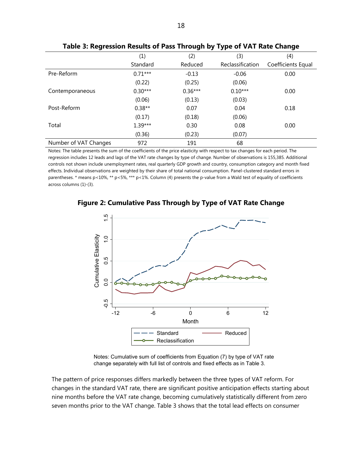|                       | (1)       | (2)       | (3)              | (4)                |
|-----------------------|-----------|-----------|------------------|--------------------|
|                       | Standard  | Reduced   | Reclassification | Coefficients Equal |
| Pre-Reform            | $0.71***$ | $-0.13$   | $-0.06$          | 0.00               |
|                       | (0.22)    | (0.25)    | (0.06)           |                    |
| Contemporaneous       | $0.30***$ | $0.36***$ | $0.10***$        | 0.00               |
|                       | (0.06)    | (0.13)    | (0.03)           |                    |
| Post-Reform           | $0.38**$  | 0.07      | 0.04             | 0.18               |
|                       | (0.17)    | (0.18)    | (0.06)           |                    |
| Total                 | $1.39***$ | 0.30      | 0.08             | 0.00               |
|                       | (0.36)    | (0.23)    | (0.07)           |                    |
| Number of VAT Changes | 972       | 191       | 68               |                    |

**Table 3: Regression Results of Pass Through by Type of VAT Rate Change** 

Notes: The table presents the sum of the coefficients of the price elasticity with respect to tax changes for each period. The regression includes 12 leads and lags of the VAT rate changes by type of change. Number of observations is 155,385. Additional controls not shown include unemployment rates, real quarterly GDP growth and country, consumption category and month fixed effects. Individual observations are weighted by their share of total national consumption. Panel-clustered standard errors in parentheses. \* means p<10%, \*\* p<5%, \*\*\* p<1%. Column (4) presents the p-value from a Wald test of equality of coefficients across columns (1)-(3).



**Figure 2: Cumulative Pass Through by Type of VAT Rate Change** 

Notes: Cumulative sum of coefficients from Equation (7) by type of VAT rate change separately with full list of controls and fixed effects as in Table 3.

The pattern of price responses differs markedly between the three types of VAT reform. For changes in the standard VAT rate, there are significant positive anticipation effects starting about nine months before the VAT rate change, becoming cumulatively statistically different from zero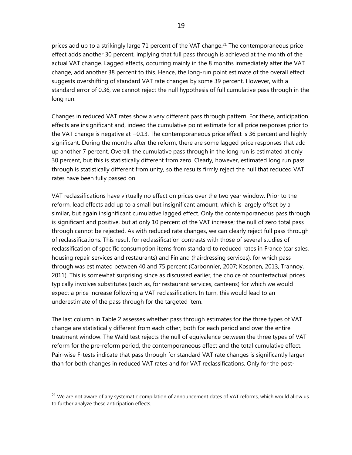prices add up to a strikingly large 71 percent of the VAT change.<sup>21</sup> The contemporaneous price effect adds another 30 percent, implying that full pass through is achieved at the month of the actual VAT change. Lagged effects, occurring mainly in the 8 months immediately after the VAT change, add another 38 percent to this. Hence, the long-run point estimate of the overall effect suggests overshifting of standard VAT rate changes by some 39 percent. However, with a standard error of 0.36, we cannot reject the null hypothesis of full cumulative pass through in the long run.

Changes in reduced VAT rates show a very different pass through pattern. For these, anticipation effects are insignificant and, indeed the cumulative point estimate for all price responses prior to the VAT change is negative at −0.13. The contemporaneous price effect is 36 percent and highly significant. During the months after the reform, there are some lagged price responses that add up another 7 percent. Overall, the cumulative pass through in the long run is estimated at only 30 percent, but this is statistically different from zero. Clearly, however, estimated long run pass through is statistically different from unity, so the results firmly reject the null that reduced VAT rates have been fully passed on.

VAT reclassifications have virtually no effect on prices over the two year window. Prior to the reform, lead effects add up to a small but insignificant amount, which is largely offset by a similar, but again insignificant cumulative lagged effect. Only the contemporaneous pass through is significant and positive, but at only 10 percent of the VAT increase; the null of zero total pass through cannot be rejected. As with reduced rate changes, we can clearly reject full pass through of reclassifications. This result for reclassification contrasts with those of several studies of reclassification of specific consumption items from standard to reduced rates in France (car sales, housing repair services and restaurants) and Finland (hairdressing services), for which pass through was estimated between 40 and 75 percent (Carbonnier, 2007; Kosonen, 2013, Trannoy, 2011). This is somewhat surprising since as discussed earlier, the choice of counterfactual prices typically involves substitutes (such as, for restaurant services, canteens) for which we would expect a price increase following a VAT reclassification. In turn, this would lead to an underestimate of the pass through for the targeted item.

The last column in Table 2 assesses whether pass through estimates for the three types of VAT change are statistically different from each other, both for each period and over the entire treatment window. The Wald test rejects the null of equivalence between the three types of VAT reform for the pre-reform period, the contemporaneous effect and the total cumulative effect. Pair-wise F-tests indicate that pass through for standard VAT rate changes is significantly larger than for both changes in reduced VAT rates and for VAT reclassifications. Only for the post-

<sup>&</sup>lt;sup>21</sup> We are not aware of any systematic compilation of announcement dates of VAT reforms, which would allow us to further analyze these anticipation effects.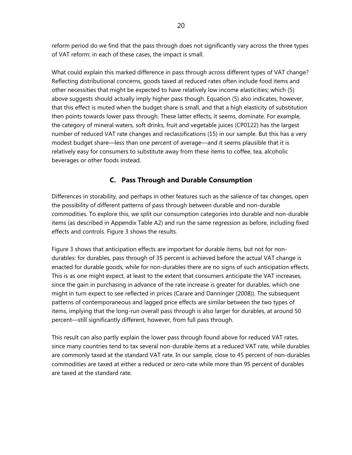reform period do we find that the pass through does not significantly vary across the three types of VAT reform: in each of these cases, the impact is small.

What could explain this marked difference in pass through across different types of VAT change? Reflecting distributional concerns, goods taxed at reduced rates often include food items and other necessities that might be expected to have relatively low income elasticities; which (5) above suggests should actually imply higher pass though. Equation (5) also indicates, however, that this effect is muted when the budget share is small, and that a high elasticity of substitution then points towards lower pass through. These latter effects, it seems, dominate. For example, the category of mineral waters, soft drinks, fruit and vegetable juices (CP0122) has the largest number of reduced VAT rate changes and reclassifications (15) in our sample. But this has a very modest budget share—less than one percent of average—and it seems plausible that it is relatively easy for consumers to substitute away from these items to coffee, tea, alcoholic beverages or other foods instead.

#### **C. Pass Through and Durable Consumption**

Differences in storability, and perhaps in other features such as the salience of tax changes, open the possibility of different patterns of pass through between durable and non-durable commodities. To explore this, we split our consumption categories into durable and non-durable items (as described in Appendix Table A2) and run the same regression as before, including fixed effects and controls. Figure 3 shows the results.

Figure 3 shows that anticipation effects are important for durable items, but not for nondurables: for durables, pass through of 35 percent is achieved before the actual VAT change is enacted for durable goods, while for non-durables there are no signs of such anticipation effects. This is as one might expect, at least to the extent that consumers anticipate the VAT increases, since the gain in purchasing in advance of the rate increase is greater for durables, which one might in turn expect to see reflected in prices (Carare and Danninger (2008)). The subsequent patterns of contemporaneous and lagged price effects are similar between the two types of items, implying that the long-run overall pass through is also larger for durables, at around 50 percent—still significantly different, however, from full pass through.

This result can also partly explain the lower pass through found above for reduced VAT rates, since many countries tend to tax several non-durable items at a reduced VAT rate, while durables are commonly taxed at the standard VAT rate. In our sample, close to 45 percent of non-durables commodities are taxed at either a reduced or zero-rate while more than 95 percent of durables are taxed at the standard rate.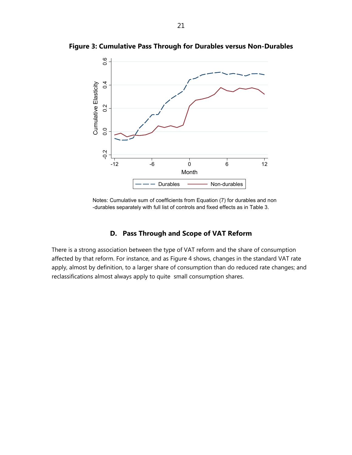

**Figure 3: Cumulative Pass Through for Durables versus Non-Durables** 

Notes: Cumulative sum of coefficients from Equation (7) for durables and non -durables separately with full list of controls and fixed effects as in Table 3.

#### **D. Pass Through and Scope of VAT Reform**

There is a strong association between the type of VAT reform and the share of consumption affected by that reform. For instance, and as Figure 4 shows, changes in the standard VAT rate apply, almost by definition, to a larger share of consumption than do reduced rate changes; and reclassifications almost always apply to quite small consumption shares.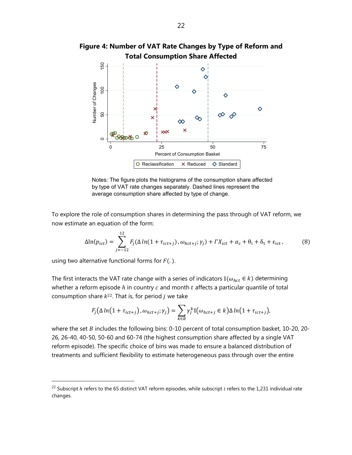

**Figure 4: Number of VAT Rate Changes by Type of Reform and** 

Notes: The figure plots the histograms of the consumption share affected by type of VAT rate changes separately. Dashed lines represent the average consumption share affected by type of change.

To explore the role of consumption shares in determining the pass through of VAT reform, we now estimate an equation of the form:

$$
\Delta \ln(p_{ict}) = \sum_{j=-12}^{12} F_j(\Delta \ln(1 + \tau_{ict+j}), \omega_{hct+j}; \gamma_j) + \Gamma X_{ict} + \alpha_c + \theta_i + \delta_t + \varepsilon_{ict}, \tag{8}
$$

using two alternative functional forms for  $F(.)$ .

 $\overline{a}$ 

The first interacts the VAT rate change with a series of indicators  $\mathbb{I}(\omega_{\text{hct}} \in k)$  determining whether a reform episode  $h$  in country  $c$  and month  $t$  affects a particular quantile of total consumption share  $k^{22}$ . That is, for period *j* we take

$$
F_j(\Delta \ln(1 + \tau_{ict+j}), \omega_{hct+j}; \gamma_j) = \sum_{k \in B} \gamma_j^k \mathbb{I}(\omega_{hct+j} \in k) \Delta \ln(1 + \tau_{ict+j}),
$$

where the set  $B$  includes the following bins: 0-10 percent of total consumption basket, 10-20, 20-26, 26-40, 40-50, 50-60 and 60-74 (the highest consumption share affected by a single VAT reform episode). The specific choice of bins was made to ensure a balanced distribution of treatments and sufficient flexibility to estimate heterogeneous pass through over the entire

<sup>&</sup>lt;sup>22</sup> Subscript  $h$  refers to the 65 distinct VAT reform episodes, while subscript  $i$  refers to the 1,231 individual rate changes.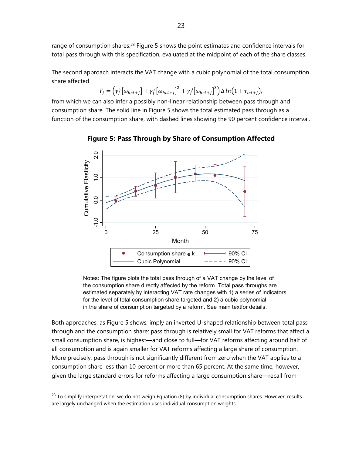range of consumption shares.<sup>23</sup> Figure 5 shows the point estimates and confidence intervals for total pass through with this specification, evaluated at the midpoint of each of the share classes.

The second approach interacts the VAT change with a cubic polynomial of the total consumption share affected

$$
F_j = \left(\gamma_j^1 \big[\omega_{hct+j}\big] + \gamma_j^2 \big[\omega_{hct+j}\big]^2 + \gamma_j^3 \big[\omega_{hct+j}\big]^3\right) \Delta \ln\big(1 + \tau_{ict+j}\big),
$$

from which we can also infer a possibly non-linear relationship between pass through and consumption share. The solid line in Figure 5 shows the total estimated pass through as a function of the consumption share, with dashed lines showing the 90 percent confidence interval.



**Figure 5: Pass Through by Share of Consumption Affected**

Notes: The figure plots the total pass through of a VAT change by the level of the consumption share directly affected by the reform. Total pass throughs are estimated separately by interacting VAT rate changes with 1) a series of indicators for the level of total consumption share targeted and 2) a cubic polynomial in the share of consumption targeted by a reform. See main textfor details.

Both approaches, as Figure 5 shows, imply an inverted U-shaped relationship between total pass through and the consumption share: pass through is relatively small for VAT reforms that affect a small consumption share, is highest—and close to full—for VAT reforms affecting around half of all consumption and is again smaller for VAT reforms affecting a large share of consumption. More precisely, pass through is not significantly different from zero when the VAT applies to a consumption share less than 10 percent or more than 65 percent. At the same time, however, given the large standard errors for reforms affecting a large consumption share—recall from

 $^{23}$  To simplify interpretation, we do not weigh Equation (8) by individual consumption shares. However, results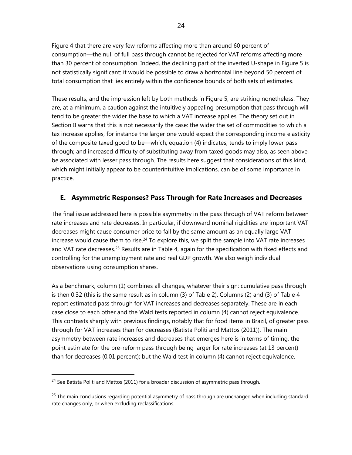Figure 4 that there are very few reforms affecting more than around 60 percent of consumption—the null of full pass through cannot be rejected for VAT reforms affecting more than 30 percent of consumption. Indeed, the declining part of the inverted U-shape in Figure 5 is not statistically significant: it would be possible to draw a horizontal line beyond 50 percent of total consumption that lies entirely within the confidence bounds of both sets of estimates.

These results, and the impression left by both methods in Figure 5, are striking nonetheless. They are, at a minimum, a caution against the intuitively appealing presumption that pass through will tend to be greater the wider the base to which a VAT increase applies. The theory set out in Section II warns that this is not necessarily the case: the wider the set of commodities to which a tax increase applies, for instance the larger one would expect the corresponding income elasticity of the composite taxed good to be—which, equation (4) indicates, tends to imply lower pass through; and increased difficulty of substituting away from taxed goods may also, as seen above, be associated with lesser pass through. The results here suggest that considerations of this kind, which might initially appear to be counterintuitive implications, can be of some importance in practice.

#### **E. Asymmetric Responses? Pass Through for Rate Increases and Decreases**

The final issue addressed here is possible asymmetry in the pass through of VAT reform between rate increases and rate decreases. In particular, if downward nominal rigidities are important VAT decreases might cause consumer price to fall by the same amount as an equally large VAT increase would cause them to rise.<sup>24</sup> To explore this, we split the sample into VAT rate increases and VAT rate decreases.<sup>25</sup> Results are in Table 4, again for the specification with fixed effects and controlling for the unemployment rate and real GDP growth. We also weigh individual observations using consumption shares.

As a benchmark, column (1) combines all changes, whatever their sign: cumulative pass through is then 0.32 (this is the same result as in column (3) of Table 2). Columns (2) and (3) of Table 4 report estimated pass through for VAT increases and decreases separately. These are in each case close to each other and the Wald tests reported in column (4) cannot reject equivalence. This contrasts sharply with previous findings, notably that for food items in Brazil, of greater pass through for VAT increases than for decreases (Batista Politi and Mattos (2011)). The main asymmetry between rate increases and decreases that emerges here is in terms of timing, the point estimate for the pre-reform pass through being larger for rate increases (at 13 percent) than for decreases (0.01 percent); but the Wald test in column (4) cannot reject equivalence.

 $24$  See Batista Politi and Mattos (2011) for a broader discussion of asymmetric pass through.

<sup>&</sup>lt;sup>25</sup> The main conclusions regarding potential asymmetry of pass through are unchanged when including standard rate changes only, or when excluding reclassifications.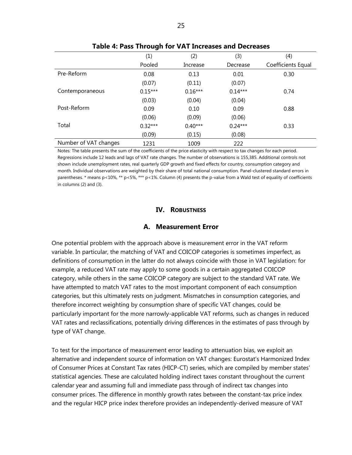|                       | (1)       | (2)          | (3)       | (4)                |  |  |  |
|-----------------------|-----------|--------------|-----------|--------------------|--|--|--|
|                       | Pooled    | Increase     | Decrease  | Coefficients Equal |  |  |  |
| Pre-Reform            | 0.08      | 0.13         | 0.01      | 0.30               |  |  |  |
|                       | (0.07)    | (0.11)       | (0.07)    |                    |  |  |  |
| Contemporaneous       | $0.15***$ | $0.16***$    | $0.14***$ | 0.74               |  |  |  |
|                       | (0.03)    | (0.04)       | (0.04)    |                    |  |  |  |
| Post-Reform           | 0.09      | 0.10<br>0.09 |           | 0.88               |  |  |  |
|                       | (0.06)    | (0.09)       | (0.06)    |                    |  |  |  |
| Total                 | $0.32***$ | $0.40***$    |           | 0.33               |  |  |  |
|                       | (0.09)    | (0.15)       | (0.08)    |                    |  |  |  |
| Number of VAT changes | 1231      | 1009         | 222       |                    |  |  |  |

Notes: The table presents the sum of the coefficients of the price elasticity with respect to tax changes for each period. Regressions include 12 leads and lags of VAT rate changes. The number of observations is 155,385. Additional controls not shown include unemployment rates, real quarterly GDP growth and fixed effects for country, consumption category and month. Individual observations are weighted by their share of total national consumption. Panel-clustered standard errors in parentheses. \* means p<10%, \*\* p<5%, \*\*\* p<1%. Column (4) presents the p-value from a Wald test of equality of coefficients

in columns (2) and (3).

## **IV. ROBUSTNESS**

#### **A. Measurement Error**

One potential problem with the approach above is measurement error in the VAT reform variable. In particular, the matching of VAT and COICOP categories is sometimes imperfect, as definitions of consumption in the latter do not always coincide with those in VAT legislation: for example, a reduced VAT rate may apply to some goods in a certain aggregated COICOP category, while others in the same COICOP category are subject to the standard VAT rate. We have attempted to match VAT rates to the most important component of each consumption categories, but this ultimately rests on judgment. Mismatches in consumption categories, and therefore incorrect weighting by consumption share of specific VAT changes, could be particularly important for the more narrowly-applicable VAT reforms, such as changes in reduced VAT rates and reclassifications, potentially driving differences in the estimates of pass through by type of VAT change.

To test for the importance of measurement error leading to attenuation bias, we exploit an alternative and independent source of information on VAT changes: Eurostat's Harmonized Index of Consumer Prices at Constant Tax rates (HICP-CT) series, which are compiled by member states' statistical agencies. These are calculated holding indirect taxes constant throughout the current calendar year and assuming full and immediate pass through of indirect tax changes into consumer prices. The difference in monthly growth rates between the constant-tax price index and the regular HICP price index therefore provides an independently-derived measure of VAT

#### **Table 4: Pass Through for VAT Increases and Decreases**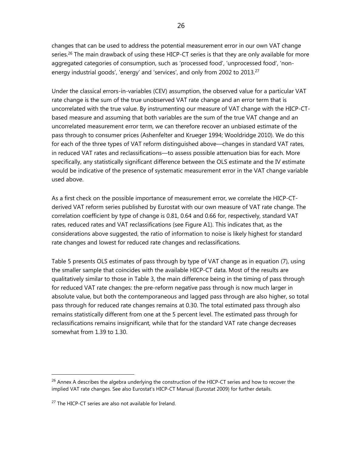changes that can be used to address the potential measurement error in our own VAT change series.<sup>26</sup> The main drawback of using these HICP-CT series is that they are only available for more aggregated categories of consumption, such as 'processed food', 'unprocessed food', 'nonenergy industrial goods', 'energy' and 'services', and only from 2002 to 2013.<sup>27</sup>

Under the classical errors-in-variables (CEV) assumption, the observed value for a particular VAT rate change is the sum of the true unobserved VAT rate change and an error term that is uncorrelated with the true value. By instrumenting our measure of VAT change with the HICP-CTbased measure and assuming that both variables are the sum of the true VAT change and an uncorrelated measurement error term, we can therefore recover an unbiased estimate of the pass through to consumer prices (Ashenfelter and Krueger 1994; Wooldridge 2010). We do this for each of the three types of VAT reform distinguished above—changes in standard VAT rates, in reduced VAT rates and reclassifications—to assess possible attenuation bias for each. More specifically, any statistically significant difference between the OLS estimate and the IV estimate would be indicative of the presence of systematic measurement error in the VAT change variable used above.

As a first check on the possible importance of measurement error, we correlate the HICP-CTderived VAT reform series published by Eurostat with our own measure of VAT rate change. The correlation coefficient by type of change is 0.81, 0.64 and 0.66 for, respectively, standard VAT rates, reduced rates and VAT reclassifications (see Figure A1). This indicates that, as the considerations above suggested, the ratio of information to noise is likely highest for standard rate changes and lowest for reduced rate changes and reclassifications.

Table 5 presents OLS estimates of pass through by type of VAT change as in equation (7), using the smaller sample that coincides with the available HICP-CT data. Most of the results are qualitatively similar to those in Table 3, the main difference being in the timing of pass through for reduced VAT rate changes: the pre-reform negative pass through is now much larger in absolute value, but both the contemporaneous and lagged pass through are also higher, so total pass through for reduced rate changes remains at 0.30. The total estimated pass through also remains statistically different from one at the 5 percent level. The estimated pass through for reclassifications remains insignificant, while that for the standard VAT rate change decreases somewhat from 1.39 to 1.30.

<sup>&</sup>lt;sup>26</sup> Annex A describes the algebra underlying the construction of the HICP-CT series and how to recover the implied VAT rate changes. See also Eurostat's HICP-CT Manual (Eurostat 2009) for further details.

<sup>&</sup>lt;sup>27</sup> The HICP-CT series are also not available for Ireland.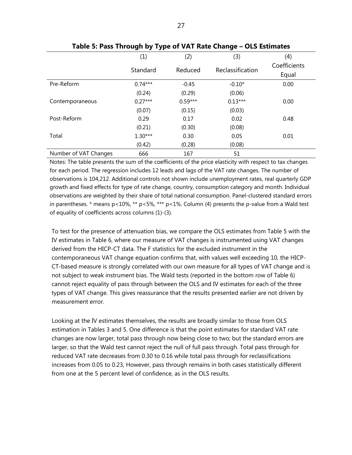|                       | (1)       | (2)       | (3)              | (4)          |
|-----------------------|-----------|-----------|------------------|--------------|
|                       | Standard  | Reduced   | Reclassification | Coefficients |
|                       |           |           |                  | Equal        |
| Pre-Reform            | $0.74***$ | $-0.45$   | $-0.10*$         | 0.00         |
|                       | (0.24)    | (0.29)    | (0.06)           |              |
| Contemporaneous       | $0.27***$ | $0.59***$ | $0.13***$        | 0.00         |
|                       | (0.07)    | (0.15)    | (0.03)           |              |
| Post-Reform           | 0.29      | 0.17      | 0.02             | 0.48         |
|                       | (0.21)    | (0.30)    | (0.08)           |              |
| Total                 | $1.30***$ | 0.30      | 0.05             | 0.01         |
|                       | (0.42)    | (0.28)    | (0.08)           |              |
| Number of VAT Changes | 666       | 167       | 51               |              |

**Table 5: Pass Through by Type of VAT Rate Change – OLS Estimates** 

Notes: The table presents the sum of the coefficients of the price elasticity with respect to tax changes for each period. The regression includes 12 leads and lags of the VAT rate changes. The number of observations is 104,212. Additional controls not shown include unemployment rates, real quarterly GDP growth and fixed effects for type of rate change, country, consumption category and month. Individual observations are weighted by their share of total national consumption. Panel-clustered standard errors in parentheses.  $*$  means p<10%,  $**$  p<5%,  $**$  p<1%. Column (4) presents the p-value from a Wald test of equality of coefficients across columns (1)-(3).

To test for the presence of attenuation bias, we compare the OLS estimates from Table 5 with the IV estimates in Table 6, where our measure of VAT changes is instrumented using VAT changes derived from the HICP-CT data. The F statistics for the excluded instrument in the contemporaneous VAT change equation confirms that, with values well exceeding 10, the HICP-CT-based measure is strongly correlated with our own measure for all types of VAT change and is not subject to weak instrument bias. The Wald tests (reported in the bottom row of Table 6) cannot reject equality of pass through between the OLS and IV estimates for each of the three types of VAT change. This gives reassurance that the results presented earlier are not driven by measurement error.

Looking at the IV estimates themselves, the results are broadly similar to those from OLS estimation in Tables 3 and 5. One difference is that the point estimates for standard VAT rate changes are now larger, total pass through now being close to two; but the standard errors are larger, so that the Wald test cannot reject the null of full pass through. Total pass through for reduced VAT rate decreases from 0.30 to 0.16 while total pass through for reclassifications increases from 0.05 to 0.23, However, pass through remains in both cases statistically different from one at the 5 percent level of confidence, as in the OLS results.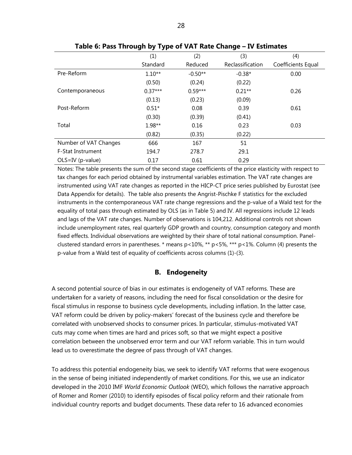|                       | ັ<br>. .  |           | ັ                |                    |
|-----------------------|-----------|-----------|------------------|--------------------|
|                       | (1)       | (2)       | (3)              | (4)                |
|                       | Standard  | Reduced   | Reclassification | Coefficients Equal |
| Pre-Reform            | $1.10**$  | $-0.50**$ | $-0.38*$         | 0.00               |
|                       | (0.50)    | (0.24)    | (0.22)           |                    |
| Contemporaneous       | $0.37***$ | $0.59***$ | $0.21**$         | 0.26               |
|                       | (0.13)    | (0.23)    | (0.09)           |                    |
| Post-Reform           | $0.51*$   | 0.08      | 0.39             | 0.61               |
|                       | (0.30)    | (0.39)    | (0.41)           |                    |
| Total                 | $1.98**$  | 0.16      | 0.23             | 0.03               |
|                       | (0.82)    | (0.35)    | (0.22)           |                    |
| Number of VAT Changes | 666       | 167       | 51               |                    |
| F-Stat Instrument     | 194.7     | 278.7     | 29.1             |                    |
| OLS=IV (p-value)      | 0.17      | 0.61      | 0.29             |                    |

**Table 6: Pass Through by Type of VAT Rate Change – IV Estimates** 

Notes: The table presents the sum of the second stage coefficients of the price elasticity with respect to tax changes for each period obtained by instrumental variables estimation. The VAT rate changes are instrumented using VAT rate changes as reported in the HICP-CT price series published by Eurostat (see Data Appendix for details). The table also presents the Angrist-Pischke F statistics for the excluded instruments in the contemporaneous VAT rate change regressions and the p-value of a Wald test for the equality of total pass through estimated by OLS (as in Table 5) and IV. All regressions include 12 leads and lags of the VAT rate changes. Number of observations is 104,212. Additional controls not shown include unemployment rates, real quarterly GDP growth and country, consumption category and month fixed effects. Individual observations are weighted by their share of total national consumption. Panelclustered standard errors in parentheses. \* means p<10%, \*\* p<5%, \*\*\* p<1%. Column (4) presents the p-value from a Wald test of equality of coefficients across columns (1)-(3).

#### **B. Endogeneity**

A second potential source of bias in our estimates is endogeneity of VAT reforms. These are undertaken for a variety of reasons, including the need for fiscal consolidation or the desire for fiscal stimulus in response to business cycle developments, including inflation. In the latter case, VAT reform could be driven by policy-makers' forecast of the business cycle and therefore be correlated with unobserved shocks to consumer prices. In particular, stimulus-motivated VAT cuts may come when times are hard and prices soft, so that we might expect a positive correlation between the unobserved error term and our VAT reform variable. This in turn would lead us to overestimate the degree of pass through of VAT changes.

To address this potential endogeneity bias, we seek to identify VAT reforms that were exogenous in the sense of being initiated independently of market conditions. For this, we use an indicator developed in the 2010 IMF *World Economic Outlook* (WEO), which follows the narrative approach of Romer and Romer (2010) to identify episodes of fiscal policy reform and their rationale from individual country reports and budget documents. These data refer to 16 advanced economies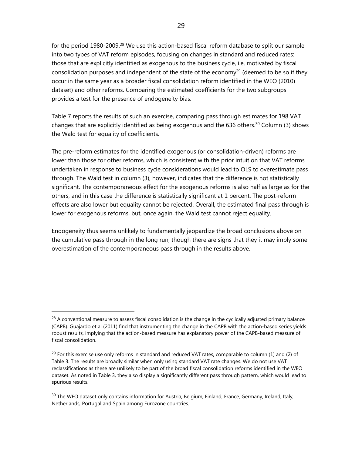for the period 1980-2009.<sup>28</sup> We use this action-based fiscal reform database to split our sample into two types of VAT reform episodes, focusing on changes in standard and reduced rates: those that are explicitly identified as exogenous to the business cycle, i.e. motivated by fiscal consolidation purposes and independent of the state of the economy<sup>29</sup> (deemed to be so if they occur in the same year as a broader fiscal consolidation reform identified in the WEO (2010) dataset) and other reforms. Comparing the estimated coefficients for the two subgroups provides a test for the presence of endogeneity bias.

Table 7 reports the results of such an exercise, comparing pass through estimates for 198 VAT changes that are explicitly identified as being exogenous and the 636 others.<sup>30</sup> Column (3) shows the Wald test for equality of coefficients.

The pre-reform estimates for the identified exogenous (or consolidation-driven) reforms are lower than those for other reforms, which is consistent with the prior intuition that VAT reforms undertaken in response to business cycle considerations would lead to OLS to overestimate pass through. The Wald test in column (3), however, indicates that the difference is not statistically significant. The contemporaneous effect for the exogenous reforms is also half as large as for the others, and in this case the difference is statistically significant at 1 percent. The post-reform effects are also lower but equality cannot be rejected. Overall, the estimated final pass through is lower for exogenous reforms, but, once again, the Wald test cannot reject equality.

Endogeneity thus seems unlikely to fundamentally jeopardize the broad conclusions above on the cumulative pass through in the long run, though there are signs that they it may imply some overestimation of the contemporaneous pass through in the results above.

 $28$  A conventional measure to assess fiscal consolidation is the change in the cyclically adjusted primary balance (CAPB). Guajardo et al (2011) find that instrumenting the change in the CAPB with the action-based series yields robust results, implying that the action-based measure has explanatory power of the CAPB-based measure of fiscal consolidation.

 $^{29}$  For this exercise use only reforms in standard and reduced VAT rates, comparable to column (1) and (2) of Table 3. The results are broadly similar when only using standard VAT rate changes. We do not use VAT reclassifications as these are unlikely to be part of the broad fiscal consolidation reforms identified in the WEO dataset. As noted in Table 3, they also display a significantly different pass through pattern, which would lead to spurious results.

<sup>&</sup>lt;sup>30</sup> The WEO dataset only contains information for Austria, Belgium, Finland, France, Germany, Ireland, Italy, Netherlands, Portugal and Spain among Eurozone countries.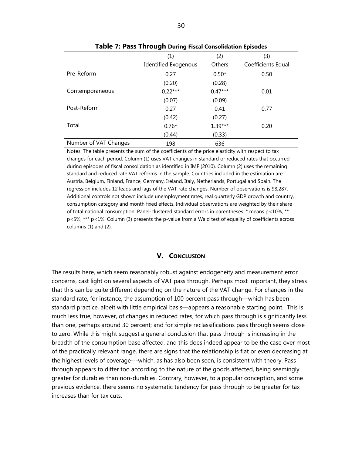|                       | -                    |           |                    |
|-----------------------|----------------------|-----------|--------------------|
|                       | (1)                  | (2)       | (3)                |
|                       | Identified Exogenous | Others    | Coefficients Equal |
| Pre-Reform            | 0.27                 | $0.50*$   | 0.50               |
|                       | (0.20)               | (0.28)    |                    |
| Contemporaneous       | $0.22***$            | $0.47***$ | 0.01               |
|                       | (0.07)               | (0.09)    |                    |
| Post-Reform           | 0.27                 | 0.41      | 0.77               |
|                       | (0.42)               | (0.27)    |                    |
| Total                 | $0.76*$              | $1.39***$ | 0.20               |
|                       | (0.44)               | (0.33)    |                    |
| Number of VAT Changes | 198                  | 636       |                    |

**Table 7: Pass Through During Fiscal Consolidation Episodes**

Notes: The table presents the sum of the coefficients of the price elasticity with respect to tax changes for each period. Column (1) uses VAT changes in standard or reduced rates that occurred during episodes of fiscal consolidation as identified in IMF (2010). Column (2) uses the remaining standard and reduced rate VAT reforms in the sample. Countries included in the estimation are: Austria, Belgium, Finland, France, Germany, Ireland, Italy, Netherlands, Portugal and Spain. The regression includes 12 leads and lags of the VAT rate changes. Number of observations is 98,287. Additional controls not shown include unemployment rates, real quarterly GDP growth and country, consumption category and month fixed effects. Individual observations are weighted by their share of total national consumption. Panel-clustered standard errors in parentheses. \* means p<10%, \*\* p<5%, \*\*\* p<1%. Column (3) presents the p-value from a Wald test of equality of coefficients across columns (1) and (2).

#### **V. CONCLUSION**

The results here, which seem reasonably robust against endogeneity and measurement error concerns, cast light on several aspects of VAT pass through. Perhaps most important, they stress that this can be quite different depending on the nature of the VAT change. For changes in the standard rate, for instance, the assumption of 100 percent pass through—which has been standard practice, albeit with little empirical basis—appears a reasonable starting point. This is much less true, however, of changes in reduced rates, for which pass through is significantly less than one, perhaps around 30 percent; and for simple reclassifications pass through seems close to zero. While this might suggest a general conclusion that pass through is increasing in the breadth of the consumption base affected, and this does indeed appear to be the case over most of the practically relevant range, there are signs that the relationship is flat or even decreasing at the highest levels of coverage---which, as has also been seen, is consistent with theory. Pass through appears to differ too according to the nature of the goods affected, being seemingly greater for durables than non-durables. Contrary, however, to a popular conception, and some previous evidence, there seems no systematic tendency for pass through to be greater for tax increases than for tax cuts.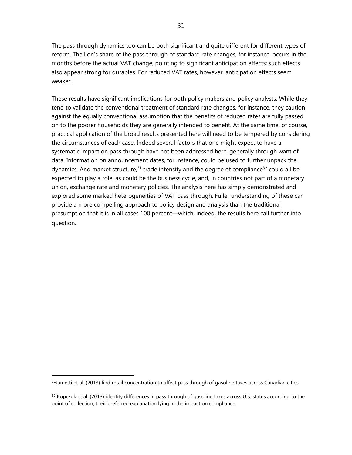The pass through dynamics too can be both significant and quite different for different types of reform. The lion's share of the pass through of standard rate changes, for instance, occurs in the months before the actual VAT change, pointing to significant anticipation effects; such effects also appear strong for durables. For reduced VAT rates, however, anticipation effects seem weaker.

These results have significant implications for both policy makers and policy analysts. While they tend to validate the conventional treatment of standard rate changes, for instance, they caution against the equally conventional assumption that the benefits of reduced rates are fully passed on to the poorer households they are generally intended to benefit. At the same time, of course, practical application of the broad results presented here will need to be tempered by considering the circumstances of each case. Indeed several factors that one might expect to have a systematic impact on pass through have not been addressed here, generally through want of data. Information on announcement dates, for instance, could be used to further unpack the dynamics. And market structure,  $31$  trade intensity and the degree of compliance  $32$  could all be expected to play a role, as could be the business cycle, and, in countries not part of a monetary union, exchange rate and monetary policies. The analysis here has simply demonstrated and explored some marked heterogeneities of VAT pass through. Fuller understanding of these can provide a more compelling approach to policy design and analysis than the traditional presumption that it is in all cases 100 percent—which, indeed, the results here call further into question.

1

 $31$ Jametti et al. (2013) find retail concentration to affect pass through of gasoline taxes across Canadian cities.

 $32$  Kopczuk et al. (2013) identity differences in pass through of gasoline taxes across U.S. states according to the point of collection, their preferred explanation lying in the impact on compliance.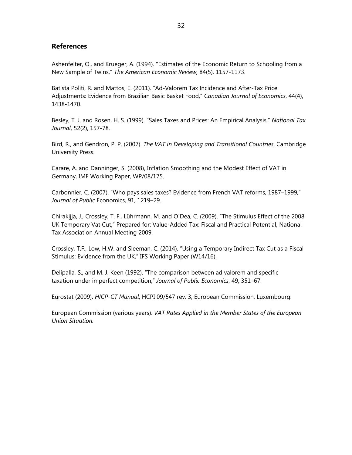#### **References**

Ashenfelter, O., and Krueger, A. (1994). "Estimates of the Economic Return to Schooling from a New Sample of Twins," *The American Economic Review,* 84(5), 1157-1173.

Batista Politi, R. and Mattos, E. (2011). "Ad-Valorem Tax Incidence and After-Tax Price Adjustments: Evidence from Brazilian Basic Basket Food," *Canadian Journal of Economics*, 44(4), 1438-1470.

Besley, T. J. and Rosen, H. S. (1999). "Sales Taxes and Prices: An Empirical Analysis," *National Tax Journal*, 52(2), 157-78.

Bird, R., and Gendron, P. P. (2007). *The VAT in Developing and Transitional Countries*. Cambridge University Press.

Carare, A. and Danninger, S. (2008), Inflation Smoothing and the Modest Effect of VAT in Germany, IMF Working Paper, WP/08/175.

Carbonnier, C. (2007). "Who pays sales taxes? Evidence from French VAT reforms, 1987–1999," *Journal of Public* Economics, 91, 1219–29.

Chirakijja, J., Crossley, T. F., Lührmann, M. and O´Dea, C. (2009). "The Stimulus Effect of the 2008 UK Temporary Vat Cut," Prepared for: Value-Added Tax: Fiscal and Practical Potential, National Tax Association Annual Meeting 2009.

Crossley, T.F., Low, H.W. and Sleeman, C. (2014). "Using a Temporary Indirect Tax Cut as a Fiscal Stimulus: Evidence from the UK," IFS Working Paper (W14/16).

Delipalla, S., and M. J. Keen (1992). "The comparison between ad valorem and specific taxation under imperfect competition," *Journal of Public Economics*, 49, 351–67.

Eurostat (2009). *HICP-CT Manual*, HCPI 09/547 rev. 3, European Commission, Luxembourg.

European Commission (various years). *VAT Rates Applied in the Member States of the European Union Situation.*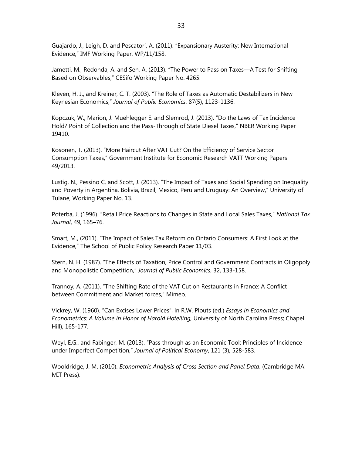Guajardo, J., Leigh, D. and Pescatori, A. (2011). "Expansionary Austerity: New International Evidence," IMF Working Paper, WP/11/158.

Jametti, M., Redonda, A. and Sen, A. (2013). "The Power to Pass on Taxes—A Test for Shifting Based on Observables," CESifo Working Paper No. 4265.

Kleven, H. J., and Kreiner, C. T. (2003). "The Role of Taxes as Automatic Destabilizers in New Keynesian Economics," *Journal of Public Economics*, 87(5), 1123-1136.

Kopczuk, W., Marion, J. Muehlegger E. and Slemrod, J. (2013). "Do the Laws of Tax Incidence Hold? Point of Collection and the Pass-Through of State Diesel Taxes," NBER Working Paper 19410.

Kosonen, T. (2013). "More Haircut After VAT Cut? On the Efficiency of Service Sector Consumption Taxes," Government Institute for Economic Research VATT Working Papers 49/2013.

Lustig, N., Pessino C. and Scott, J. (2013). "The Impact of Taxes and Social Spending on Inequality and Poverty in Argentina, Bolivia, Brazil, Mexico, Peru and Uruguay: An Overview," University of Tulane, Working Paper No. 13.

Poterba, J. (1996). "Retail Price Reactions to Changes in State and Local Sales Taxes," *National Tax Journal*, 49, 165–76.

Smart, M., (2011). "The Impact of Sales Tax Reform on Ontario Consumers: A First Look at the Evidence," The School of Public Policy Research Paper 11/03.

Stern, N. H. (1987). "The Effects of Taxation, Price Control and Government Contracts in Oligopoly and Monopolistic Competition," *Journal of Public Economics*, 32, 133-158.

Trannoy, A. (2011). "The Shifting Rate of the VAT Cut on Restaurants in France: A Conflict between Commitment and Market forces," Mimeo.

Vickrey, W. (1960). "Can Excises Lower Prices", in R.W. Plouts (ed.) *Essays in Economics and Econometrics: A Volume in Honor of Harold Hotelling,* University of North Carolina Press; Chapel Hill), 165-177.

Weyl, E.G., and Fabinger, M. (2013). "Pass through as an Economic Tool: Principles of Incidence under Imperfect Competition," *Journal of Political Economy*, 121 (3), 528-583.

Wooldridge, J. M. (2010). *Econometric Analysis of Cross Section and Panel Data*. (Cambridge MA: MIT Press).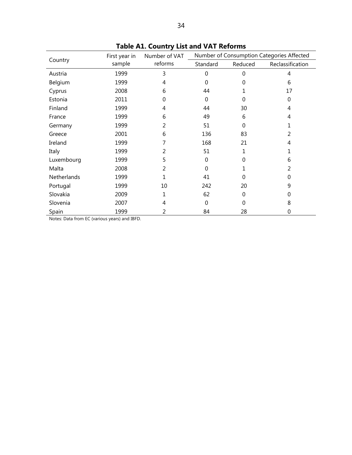|             | First year in | Number of VAT | Number of Consumption Categories Affected |          |                  |  |
|-------------|---------------|---------------|-------------------------------------------|----------|------------------|--|
| Country     | sample        | reforms       | Standard                                  | Reduced  | Reclassification |  |
| Austria     | 1999          | 3             | $\overline{0}$                            | $\Omega$ | 4                |  |
| Belgium     | 1999          | 4             | $\Omega$                                  | 0        | 6                |  |
| Cyprus      | 2008          | 6             | 44                                        |          | 17               |  |
| Estonia     | 2011          | 0             | $\mathbf{0}$                              | $\Omega$ | 0                |  |
| Finland     | 1999          | 4             | 44                                        | 30       | 4                |  |
| France      | 1999          | 6             | 49                                        | 6        | 4                |  |
| Germany     | 1999          | 2             | 51                                        | $\Omega$ | 1                |  |
| Greece      | 2001          | 6             | 136                                       | 83       | 2                |  |
| Ireland     | 1999          | 7             | 168                                       | 21       | 4                |  |
| Italy       | 1999          | 2             | 51                                        | 1        |                  |  |
| Luxembourg  | 1999          | 5             | $\mathbf{0}$                              | $\Omega$ | 6                |  |
| Malta       | 2008          | 2             | $\mathbf{0}$                              |          | 2                |  |
| Netherlands | 1999          | 1             | 41                                        | 0        | 0                |  |
| Portugal    | 1999          | 10            | 242                                       | 20       | 9                |  |
| Slovakia    | 2009          | 1             | 62                                        | $\Omega$ | 0                |  |
| Slovenia    | 2007          | 4             | $\mathbf 0$                               | $\Omega$ | 8                |  |
| Spain       | 1999          | 2             | 84                                        | 28       | 0                |  |

**Table A1. Country List and VAT Reforms** 

Notes: Data from EC (various years) and IBFD.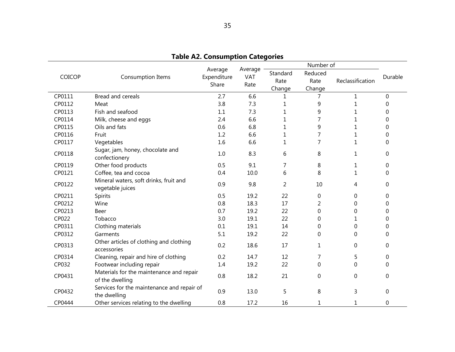|        |                                                             |                                 |                        |                            | Number of                 |                  |                  |
|--------|-------------------------------------------------------------|---------------------------------|------------------------|----------------------------|---------------------------|------------------|------------------|
| COICOP | Consumption Items                                           | Average<br>Expenditure<br>Share | Average<br>VAT<br>Rate | Standard<br>Rate<br>Change | Reduced<br>Rate<br>Change | Reclassification | Durable          |
| CP0111 | Bread and cereals                                           | 2.7                             | 6.6                    | 1                          | 7                         | $\mathbf{1}$     | $\Omega$         |
| CP0112 | Meat                                                        | 3.8                             | 7.3                    | 1                          | 9                         | $\mathbf{1}$     | 0                |
| CP0113 | Fish and seafood                                            | 1.1                             | 7.3                    | 1                          | 9                         | 1                | 0                |
| CP0114 | Milk, cheese and eggs                                       | 2.4                             | 6.6                    | 1                          | 7                         | 1                | 0                |
| CP0115 | Oils and fats                                               | 0.6                             | 6.8                    | 1                          | 9                         | $\mathbf{1}$     | 0                |
| CP0116 | Fruit                                                       | 1.2                             | 6.6                    | 1                          | 7                         | 1                | 0                |
| CP0117 | Vegetables                                                  | 1.6                             | 6.6                    | 1                          | 7                         | $\mathbf{1}$     | $\Omega$         |
| CP0118 | Sugar, jam, honey, chocolate and<br>confectionery           | 1.0                             | 8.3                    | 6                          | 8                         | 1                | $\mathbf 0$      |
| CP0119 | Other food products                                         | 0.5                             | 9.1                    | 7                          | 8                         | $\mathbf 1$      | 0                |
| CP0121 | Coffee, tea and cocoa                                       | 0.4                             | 10.0                   | 6                          | 8                         | 1                | $\Omega$         |
| CP0122 | Mineral waters, soft drinks, fruit and<br>vegetable juices  | 0.9                             | 9.8                    | $\overline{2}$             | 10                        | 4                | 0                |
| CP0211 | Spirits                                                     | 0.5                             | 19.2                   | 22                         | 0                         | 0                | 0                |
| CP0212 | Wine                                                        | 0.8                             | 18.3                   | 17                         | 2                         | 0                | 0                |
| CP0213 | Beer                                                        | 0.7                             | 19.2                   | 22                         | 0                         | 0                | 0                |
| CP022  | Tobacco                                                     | 3.0                             | 19.1                   | 22                         | $\Omega$                  | 1                | 0                |
| CP0311 | Clothing materials                                          | 0.1                             | 19.1                   | 14                         | 0                         | 0                | 0                |
| CP0312 | Garments                                                    | 5.1                             | 19.2                   | 22                         | $\mathbf 0$               | 0                | $\Omega$         |
| CP0313 | Other articles of clothing and clothing<br>accessories      | 0.2                             | 18.6                   | 17                         | 1                         | 0                | $\mathbf 0$      |
| CP0314 | Cleaning, repair and hire of clothing                       | 0.2                             | 14.7                   | 12                         | 7                         | 5                | $\boldsymbol{0}$ |
| CP032  | Footwear including repair                                   | 1.4                             | 19.2                   | 22                         | $\Omega$                  | 0                | $\Omega$         |
| CP0431 | Materials for the maintenance and repair<br>of the dwelling | 0.8                             | 18.2                   | 21                         | $\mathbf 0$               | 0                | $\mathbf 0$      |
| CP0432 | Services for the maintenance and repair of<br>the dwelling  | 0.9                             | 13.0                   | 5                          | 8                         | 3                | 0                |
| CP0444 | Other services relating to the dwelling                     | 0.8                             | 17.2                   | 16                         | 1                         | $\mathbf{1}$     | 0                |

**Table A2. Consumption Categories**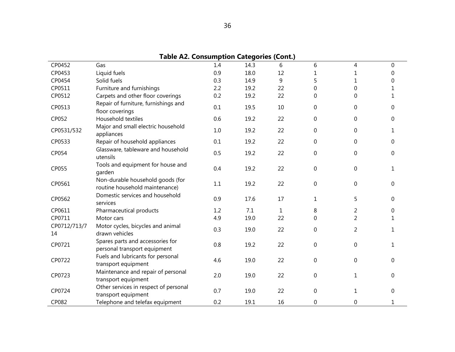| <b>Table A2. Consumption Categories (Cont.)</b> |                                                                    |     |      |    |                  |                  |              |  |  |
|-------------------------------------------------|--------------------------------------------------------------------|-----|------|----|------------------|------------------|--------------|--|--|
| CP0452                                          | Gas                                                                | 1.4 | 14.3 | 6  | 6                | 4                | $\mathbf 0$  |  |  |
| CP0453                                          | Liquid fuels                                                       | 0.9 | 18.0 | 12 | 1                | 1                | $\Omega$     |  |  |
| CP0454                                          | Solid fuels                                                        | 0.3 | 14.9 | 9  | 5                | 1                | 0            |  |  |
| CP0511                                          | Furniture and furnishings                                          | 2.2 | 19.2 | 22 | $\Omega$         | $\mathbf 0$      | 1            |  |  |
| CP0512                                          | Carpets and other floor coverings                                  | 0.2 | 19.2 | 22 | $\mathbf 0$      | 0                | 1            |  |  |
| CP0513                                          | Repair of furniture, furnishings and<br>floor coverings            | 0.1 | 19.5 | 10 | $\mathbf 0$      | $\mathbf 0$      | $\mathbf{0}$ |  |  |
| CP052                                           | Household textiles                                                 | 0.6 | 19.2 | 22 | $\mathbf 0$      | 0                | $\mathbf{0}$ |  |  |
| CP0531/532                                      | Major and small electric household<br>appliances                   | 1.0 | 19.2 | 22 | $\boldsymbol{0}$ | $\boldsymbol{0}$ | $\mathbf{1}$ |  |  |
| CP0533                                          | Repair of household appliances                                     | 0.1 | 19.2 | 22 | $\Omega$         | 0                | $\Omega$     |  |  |
| CP054                                           | Glassware, tableware and household<br>utensils                     | 0.5 | 19.2 | 22 | $\mathbf 0$      | 0                | 0            |  |  |
| CP055                                           | Tools and equipment for house and<br>garden                        | 0.4 | 19.2 | 22 | $\mathbf 0$      | 0                | 1            |  |  |
| CP0561                                          | Non-durable household goods (for<br>routine household maintenance) | 1.1 | 19.2 | 22 | $\boldsymbol{0}$ | 0                | 0            |  |  |
| CP0562                                          | Domestic services and household<br>services                        | 0.9 | 17.6 | 17 | 1                | 5                | $\Omega$     |  |  |
| CP0611                                          | Pharmaceutical products                                            | 1.2 | 7.1  | 1  | 8                | $\overline{c}$   | 0            |  |  |
| CP0711                                          | Motor cars                                                         | 4.9 | 19.0 | 22 | $\mathbf 0$      | $\overline{2}$   | 1            |  |  |
| CP0712/713/7<br>14                              | Motor cycles, bicycles and animal<br>drawn vehicles                | 0.3 | 19.0 | 22 | $\mathbf 0$      | $\overline{2}$   | $\mathbf{1}$ |  |  |
| CP0721                                          | Spares parts and accessories for<br>personal transport equipment   | 0.8 | 19.2 | 22 | $\boldsymbol{0}$ | $\boldsymbol{0}$ | $\mathbf{1}$ |  |  |
| CP0722                                          | Fuels and lubricants for personal<br>transport equipment           | 4.6 | 19.0 | 22 | $\mathbf 0$      | $\mathbf 0$      | 0            |  |  |
| CP0723                                          | Maintenance and repair of personal<br>transport equipment          | 2.0 | 19.0 | 22 | $\boldsymbol{0}$ | 1                | $\mathbf 0$  |  |  |
| CP0724                                          | Other services in respect of personal<br>transport equipment       | 0.7 | 19.0 | 22 | $\boldsymbol{0}$ | 1                | $\mathbf 0$  |  |  |
| CP082                                           | Telephone and telefax equipment                                    | 0.2 | 19.1 | 16 | $\boldsymbol{0}$ | $\boldsymbol{0}$ | $\mathbf{1}$ |  |  |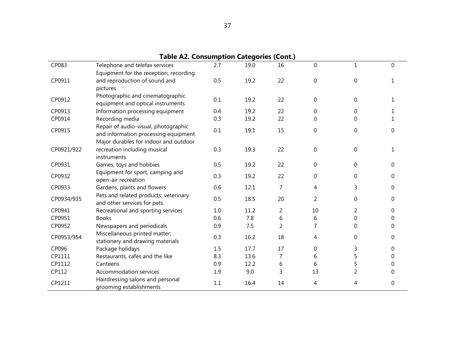| <b>Table A2. Consumption Categories (Cont.)</b> |                                                             |     |      |                |             |                |          |  |  |
|-------------------------------------------------|-------------------------------------------------------------|-----|------|----------------|-------------|----------------|----------|--|--|
| CP083                                           | Telephone and telefax services                              | 2.7 | 19.0 | 16             | $\Omega$    | 1              | $\Omega$ |  |  |
|                                                 | Equipment for the reception, recording                      |     |      |                |             |                |          |  |  |
| CP0911                                          | and reproduction of sound and                               | 0.5 | 19.2 | 22             | $\mathbf 0$ | 0              | 1        |  |  |
|                                                 | pictures                                                    |     |      |                |             |                |          |  |  |
| CP0912                                          | Photographic and cinematographic                            | 0.1 | 19.2 | 22             | $\Omega$    | 0              | 1.       |  |  |
|                                                 | equipment and optical instruments                           |     |      |                |             |                |          |  |  |
| CP0913                                          | Information processing equipment                            | 0.4 | 19.2 | 22             | 0           | 0              |          |  |  |
| CP0914                                          | Recording media                                             | 0.3 | 19.2 | 22             | 0           | 0              |          |  |  |
| CP0915                                          | Repair of audio-visual, photographic                        | 0.1 | 19.1 | 15             | 0           | 0              | $\Omega$ |  |  |
|                                                 | and information processing equipment                        |     |      |                |             |                |          |  |  |
|                                                 | Major durables for indoor and outdoor                       |     |      |                |             |                |          |  |  |
| CP0921/922                                      | recreation including musical                                | 0.3 | 19.3 | 22             | 0           | $\Omega$       | 1        |  |  |
|                                                 | instruments                                                 |     |      |                |             |                |          |  |  |
| CP0931                                          | Games, toys and hobbies                                     | 0.5 | 19.2 | 22             | $\mathbf 0$ | 0              | 0        |  |  |
| CP0932                                          | Equipment for sport, camping and<br>open-air recreation     | 0.3 | 19.2 | 22             | 0           | 0              | 0        |  |  |
| CP0933                                          | Gardens, plants and flowers                                 | 0.6 | 12.1 | 7              | 4           | 3              | 0        |  |  |
|                                                 | Pets and related products; veterinary                       |     |      |                |             |                |          |  |  |
| CP0934/935                                      | and other services for pets                                 | 0.5 | 18.5 | 20             | 2           | 0              | $\Omega$ |  |  |
| CP0941                                          | Recreational and sporting services                          | 1.0 | 11.2 | 2              | 10          | 2              | $\Omega$ |  |  |
| CP0951                                          | <b>Books</b>                                                | 0.6 | 7.8  | 6              | 6           | 0              | 0        |  |  |
| CP0952                                          | Newspapers and periodicals                                  | 0.9 | 7.5  | $\overline{2}$ | 7           | 0              | 0        |  |  |
| CP0953/954                                      | Miscellaneous printed matter;                               | 0.3 |      | 18             | 4           |                | $\Omega$ |  |  |
|                                                 | stationery and drawing materials                            |     | 16.2 |                |             | 0              |          |  |  |
| CP096                                           | Package holidays                                            | 1.5 | 17.7 | 17             | 0           | 3              | $\Omega$ |  |  |
| CP1111                                          | Restaurants, cafés and the like                             | 8.3 | 13.6 | 7              | 6           | 5              | 0        |  |  |
| CP1112                                          | Canteens                                                    | 0.9 | 12.2 | 6              | 6           | 5              | 0        |  |  |
| CP112                                           | Accommodation services                                      | 1.9 | 9.0  | 3              | 13          | $\overline{2}$ | 0        |  |  |
| CP1211                                          | Hairdressing salons and personal<br>grooming establishments | 1.1 | 16.4 | 14             | 4           | 4              | 0        |  |  |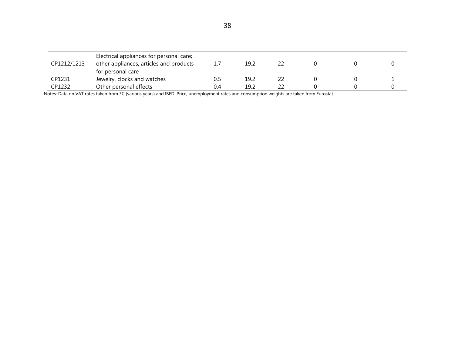| CP1212/1213 | Electrical appliances for personal care;<br>other appliances, articles and products<br>for personal care | 1.7 | 19.2 |  |  |
|-------------|----------------------------------------------------------------------------------------------------------|-----|------|--|--|
| CP1231      | Jewelry, clocks and watches                                                                              | Ս.5 | 19.2 |  |  |
| CP1232      | Other personal effects                                                                                   | 0.4 | 19.2 |  |  |

Notes: Data on VAT rates taken from EC (various years) and IBFD. Price, unemployment rates and consumption weights are taken from Eurostat.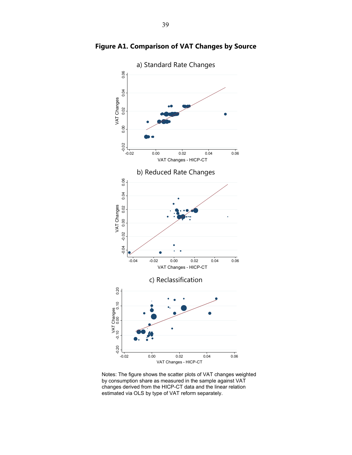

**Figure A1. Comparison of VAT Changes by Source** 

Notes: The figure shows the scatter plots of VAT changes weighted by consumption share as measured in the sample against VAT changes derived from the HICP-CT data and the linear relation estimated via OLS by type of VAT reform separately.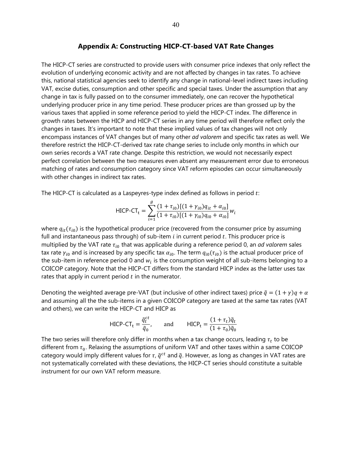#### **Appendix A: Constructing HICP-CT-based VAT Rate Changes**

The HICP-CT series are constructed to provide users with consumer price indexes that only reflect the evolution of underlying economic activity and are not affected by changes in tax rates. To achieve this, national statistical agencies seek to identify any change in national-level indirect taxes including VAT, excise duties, consumption and other specific and special taxes. Under the assumption that any change in tax is fully passed on to the consumer immediately, one can recover the hypothetical underlying producer price in any time period. These producer prices are than grossed up by the various taxes that applied in some reference period to yield the HICP-CT index. The difference in growth rates between the HICP and HICP-CT series in any time period will therefore reflect only the changes in taxes. It's important to note that these implied values of tax changes will not only encompass instances of VAT changes but of many other *ad valorem* and specific tax rates as well. We therefore restrict the HICP-CT-derived tax rate change series to include only months in which our own series records a VAT rate change. Despite this restriction, we would not necessarily expect perfect correlation between the two measures even absent any measurement error due to erroneous matching of rates and consumption category since VAT reform episodes can occur simultaneously with other changes in indirect tax rates.

The HICP-CT is calculated as a Laspeyres-type index defined as follows in period  $t$ :

$$
HICP - CT_{t} = \sum_{i=1}^{g} \frac{(1 + \tau_{i0})[(1 + \gamma_{i0})q_{it} + \alpha_{i0}]}{(1 + \tau_{i0})[(1 + \gamma_{i0})q_{i0} + \alpha_{i0}]} w_{i}
$$

where  $q_{it}(\tau_{i0})$  is the hypothetical producer price (recovered from the consumer price by assuming full and instantaneous pass through) of sub-item  $i$  in current period  $t$ . This producer price is multiplied by the VAT rate  $\tau_{i0}$  that was applicable during a reference period 0, an *ad valorem* sales tax rate  $\gamma_{i0}$  and is increased by any specific tax  $\alpha_{i0}$ . The term  $q_{i0}(\tau_{i0})$  is the actual producer price of the sub-item in reference period 0 and  $w_i$  is the consumption weight of all sub-items belonging to a COICOP category. Note that the HICP-CT differs from the standard HICP index as the latter uses tax rates that apply in current period  $t$  in the numerator.

Denoting the weighted average pre-VAT (but inclusive of other indirect taxes) price  $\tilde{q} = (1 + \gamma)q + \alpha$ and assuming all the the sub-items in a given COICOP category are taxed at the same tax rates (VAT and others), we can write the HICP-CT and HICP as

$$
\text{HICP-CT}_{t} = \frac{\tilde{q}_t^{ct}}{\tilde{q}_0}, \quad \text{and} \quad \text{HICP}_{t} = \frac{(1 + \tau_t)\tilde{q}_t}{(1 + \tau_0)\tilde{q}_0}
$$

The two series will therefore only differ in months when a tax change occurs, leading  $\tau_t$  to be different from  $\tau_0$ . Relaxing the assumptions of uniform VAT and other taxes within a same COICOP category would imply different values for  $\tau$ ,  $\tilde{q}^{ct}$  and  $\tilde{q}$ . However, as long as changes in VAT rates are not systematically correlated with these deviations, the HICP-CT series should constitute a suitable instrument for our own VAT reform measure.